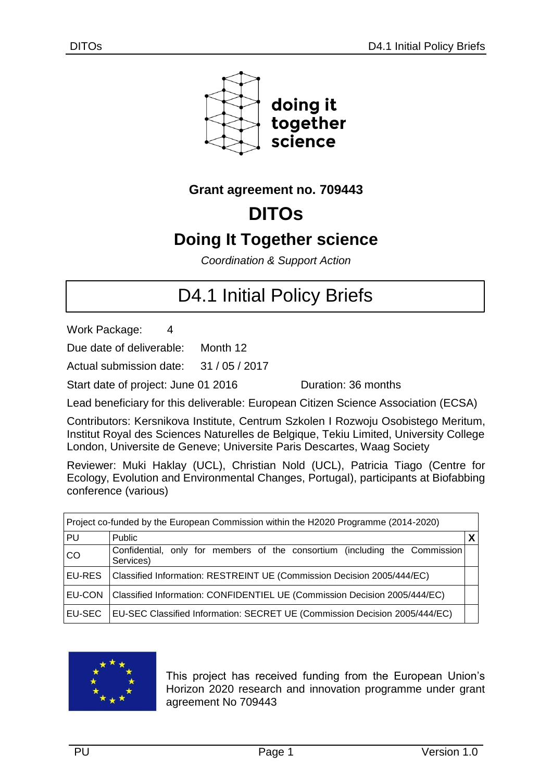

## **Grant agreement no. 709443**

# **DITOs**

## **Doing It Together science**

*Coordination & Support Action*

# D4.1 Initial Policy Briefs

Work Package: 4

Due date of deliverable: Month 12

Actual submission date: 31 / 05 / 2017

Start date of project: June 01 2016 Quration: 36 months

Lead beneficiary for this deliverable: European Citizen Science Association (ECSA)

Contributors: Kersnikova Institute, Centrum Szkolen I Rozwoju Osobistego Meritum, Institut Royal des Sciences Naturelles de Belgique, Tekiu Limited, University College London, Universite de Geneve; Universite Paris Descartes, Waag Society

Reviewer: Muki Haklay (UCL), Christian Nold (UCL), Patricia Tiago (Centre for Ecology, Evolution and Environmental Changes, Portugal), participants at Biofabbing conference (various)

| Project co-funded by the European Commission within the H2020 Programme (2014-2020) |                                                                                         |  |  |
|-------------------------------------------------------------------------------------|-----------------------------------------------------------------------------------------|--|--|
| PU                                                                                  | <b>Public</b>                                                                           |  |  |
| <b>CO</b>                                                                           | Confidential, only for members of the consortium (including the Commission<br>Services) |  |  |
| <b>EU-RES</b>                                                                       | Classified Information: RESTREINT UE (Commission Decision 2005/444/EC)                  |  |  |
| <b>EU-CON</b>                                                                       | Classified Information: CONFIDENTIEL UE (Commission Decision 2005/444/EC)               |  |  |
| EU-SEC                                                                              | EU-SEC Classified Information: SECRET UE (Commission Decision 2005/444/EC)              |  |  |



This project has received funding from the European Union's Horizon 2020 research and innovation programme under grant agreement No 709443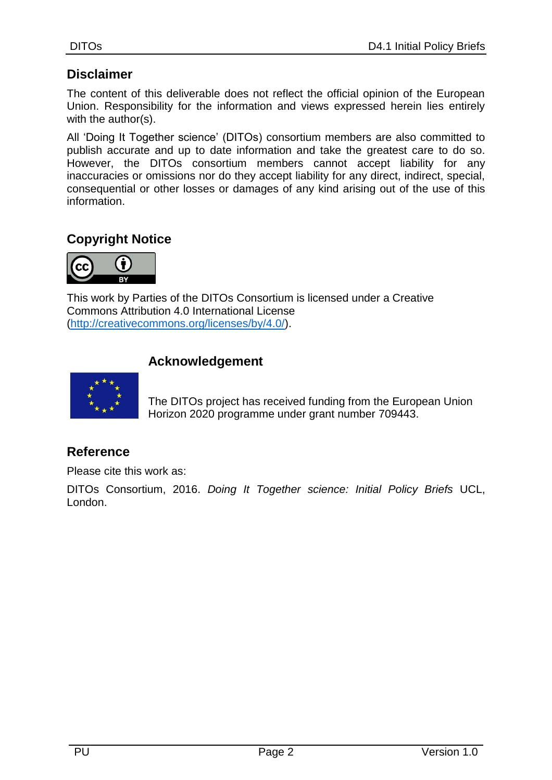### **Disclaimer**

The content of this deliverable does not reflect the official opinion of the European Union. Responsibility for the information and views expressed herein lies entirely with the author(s).

All 'Doing It Together science' (DITOs) consortium members are also committed to publish accurate and up to date information and take the greatest care to do so. However, the DITOs consortium members cannot accept liability for any inaccuracies or omissions nor do they accept liability for any direct, indirect, special, consequential or other losses or damages of any kind arising out of the use of this information.

## **Copyright Notice**



This work by Parties of the DITOs Consortium is licensed under a Creative Commons Attribution 4.0 International License [\(http://creativecommons.org/licenses/by/4.0/\)](http://creativecommons.org/licenses/by/4.0/).

#### **Acknowledgement**



The DITOs project has received funding from the European Union Horizon 2020 programme under grant number 709443.

#### **Reference**

Please cite this work as:

DITOs Consortium, 2016. *Doing It Together science: Initial Policy Briefs* UCL, London.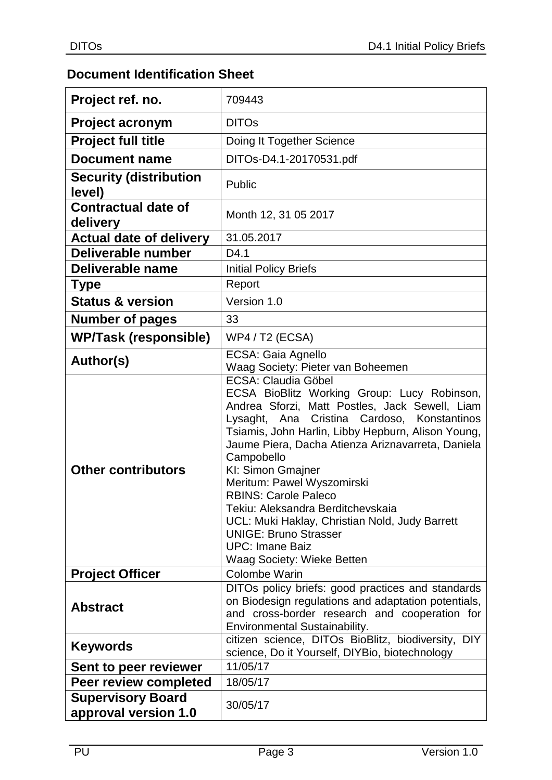## **Document Identification Sheet**

| Project ref. no.                                 | 709443                                                                                                                                                                                                                                                                                                                                                                                                                                                                                                                                                                      |
|--------------------------------------------------|-----------------------------------------------------------------------------------------------------------------------------------------------------------------------------------------------------------------------------------------------------------------------------------------------------------------------------------------------------------------------------------------------------------------------------------------------------------------------------------------------------------------------------------------------------------------------------|
| <b>Project acronym</b>                           | <b>DITOs</b>                                                                                                                                                                                                                                                                                                                                                                                                                                                                                                                                                                |
| <b>Project full title</b>                        | Doing It Together Science                                                                                                                                                                                                                                                                                                                                                                                                                                                                                                                                                   |
| <b>Document name</b>                             | DITOs-D4.1-20170531.pdf                                                                                                                                                                                                                                                                                                                                                                                                                                                                                                                                                     |
| <b>Security (distribution</b><br>level)          | Public                                                                                                                                                                                                                                                                                                                                                                                                                                                                                                                                                                      |
| <b>Contractual date of</b><br>delivery           | Month 12, 31 05 2017                                                                                                                                                                                                                                                                                                                                                                                                                                                                                                                                                        |
| <b>Actual date of delivery</b>                   | 31.05.2017                                                                                                                                                                                                                                                                                                                                                                                                                                                                                                                                                                  |
| Deliverable number                               | D4.1                                                                                                                                                                                                                                                                                                                                                                                                                                                                                                                                                                        |
| Deliverable name                                 | <b>Initial Policy Briefs</b>                                                                                                                                                                                                                                                                                                                                                                                                                                                                                                                                                |
| <b>Type</b>                                      | Report                                                                                                                                                                                                                                                                                                                                                                                                                                                                                                                                                                      |
| <b>Status &amp; version</b>                      | Version 1.0                                                                                                                                                                                                                                                                                                                                                                                                                                                                                                                                                                 |
| <b>Number of pages</b>                           | 33                                                                                                                                                                                                                                                                                                                                                                                                                                                                                                                                                                          |
| <b>WP/Task (responsible)</b>                     | <b>WP4 / T2 (ECSA)</b>                                                                                                                                                                                                                                                                                                                                                                                                                                                                                                                                                      |
| Author(s)                                        | ECSA: Gaia Agnello<br>Waag Society: Pieter van Boheemen                                                                                                                                                                                                                                                                                                                                                                                                                                                                                                                     |
| <b>Other contributors</b>                        | <b>ECSA: Claudia Göbel</b><br>ECSA BioBlitz Working Group: Lucy Robinson,<br>Andrea Sforzi, Matt Postles, Jack Sewell, Liam<br>Lysaght, Ana Cristina Cardoso, Konstantinos<br>Tsiamis, John Harlin, Libby Hepburn, Alison Young,<br>Jaume Piera, Dacha Atienza Ariznavarreta, Daniela<br>Campobello<br>KI: Simon Gmajner<br>Meritum: Pawel Wyszomirski<br><b>RBINS: Carole Paleco</b><br>Tekiu: Aleksandra Berditchevskaia<br>UCL: Muki Haklay, Christian Nold, Judy Barrett<br><b>UNIGE: Bruno Strasser</b><br><b>UPC: Imane Baiz</b><br><b>Waag Society: Wieke Betten</b> |
| <b>Project Officer</b>                           | Colombe Warin                                                                                                                                                                                                                                                                                                                                                                                                                                                                                                                                                               |
| <b>Abstract</b>                                  | DITOs policy briefs: good practices and standards<br>on Biodesign regulations and adaptation potentials,<br>and cross-border research and cooperation for<br><b>Environmental Sustainability.</b>                                                                                                                                                                                                                                                                                                                                                                           |
| <b>Keywords</b>                                  | citizen science, DITOs BioBlitz, biodiversity, DIY<br>science, Do it Yourself, DIYBio, biotechnology                                                                                                                                                                                                                                                                                                                                                                                                                                                                        |
| Sent to peer reviewer                            | 11/05/17                                                                                                                                                                                                                                                                                                                                                                                                                                                                                                                                                                    |
| Peer review completed                            | 18/05/17                                                                                                                                                                                                                                                                                                                                                                                                                                                                                                                                                                    |
| <b>Supervisory Board</b><br>approval version 1.0 | 30/05/17                                                                                                                                                                                                                                                                                                                                                                                                                                                                                                                                                                    |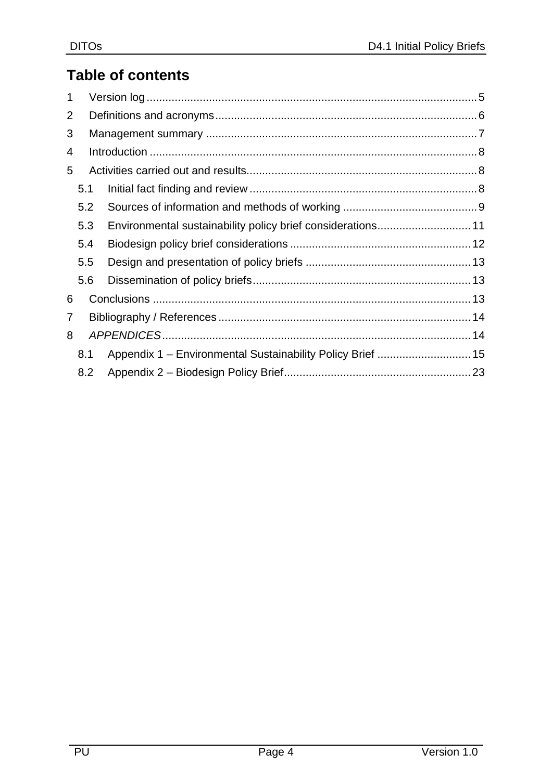## **Table of contents**

| 5.1 |                                                            |  |  |
|-----|------------------------------------------------------------|--|--|
| 5.2 |                                                            |  |  |
| 5.3 |                                                            |  |  |
| 5.4 |                                                            |  |  |
| 5.5 |                                                            |  |  |
| 5.6 |                                                            |  |  |
|     |                                                            |  |  |
|     |                                                            |  |  |
| 8   |                                                            |  |  |
| 8.1 | Appendix 1 - Environmental Sustainability Policy Brief  15 |  |  |
| 8.2 |                                                            |  |  |
|     |                                                            |  |  |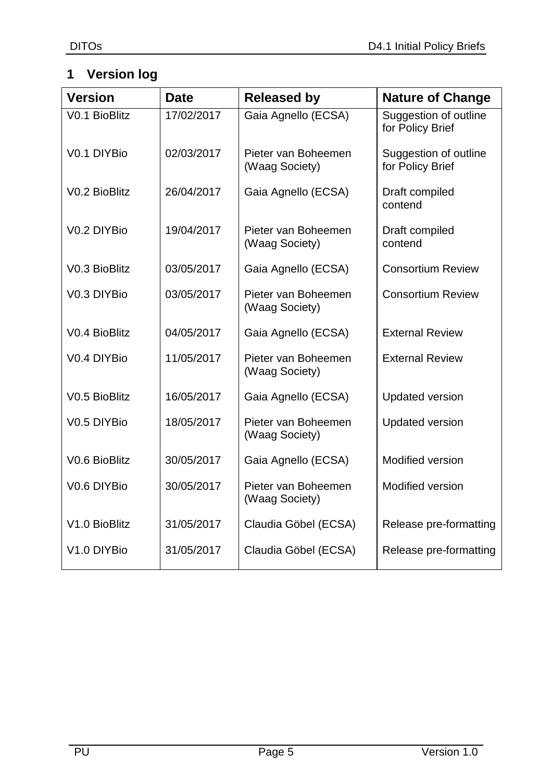## <span id="page-4-0"></span>**1 Version log**

| <b>Version</b> | <b>Date</b> | <b>Released by</b>                    | <b>Nature of Change</b>                   |
|----------------|-------------|---------------------------------------|-------------------------------------------|
| V0.1 BioBlitz  | 17/02/2017  | Gaia Agnello (ECSA)                   | Suggestion of outline<br>for Policy Brief |
| V0.1 DIYBio    | 02/03/2017  | Pieter van Boheemen<br>(Waag Society) | Suggestion of outline<br>for Policy Brief |
| V0.2 BioBlitz  | 26/04/2017  | Gaia Agnello (ECSA)                   | Draft compiled<br>contend                 |
| V0.2 DIYBio    | 19/04/2017  | Pieter van Boheemen<br>(Waag Society) | Draft compiled<br>contend                 |
| V0.3 BioBlitz  | 03/05/2017  | Gaia Agnello (ECSA)                   | <b>Consortium Review</b>                  |
| V0.3 DIYBio    | 03/05/2017  | Pieter van Boheemen<br>(Waag Society) | <b>Consortium Review</b>                  |
| V0.4 BioBlitz  | 04/05/2017  | Gaia Agnello (ECSA)                   | <b>External Review</b>                    |
| V0.4 DIYBio    | 11/05/2017  | Pieter van Boheemen<br>(Waag Society) | <b>External Review</b>                    |
| V0.5 BioBlitz  | 16/05/2017  | Gaia Agnello (ECSA)                   | <b>Updated version</b>                    |
| V0.5 DIYBio    | 18/05/2017  | Pieter van Boheemen<br>(Waag Society) | <b>Updated version</b>                    |
| V0.6 BioBlitz  | 30/05/2017  | Gaia Agnello (ECSA)                   | Modified version                          |
| V0.6 DIYBio    | 30/05/2017  | Pieter van Boheemen<br>(Waag Society) | Modified version                          |
| V1.0 BioBlitz  | 31/05/2017  | Claudia Göbel (ECSA)                  | Release pre-formatting                    |
| V1.0 DIYBio    | 31/05/2017  | Claudia Göbel (ECSA)                  | Release pre-formatting                    |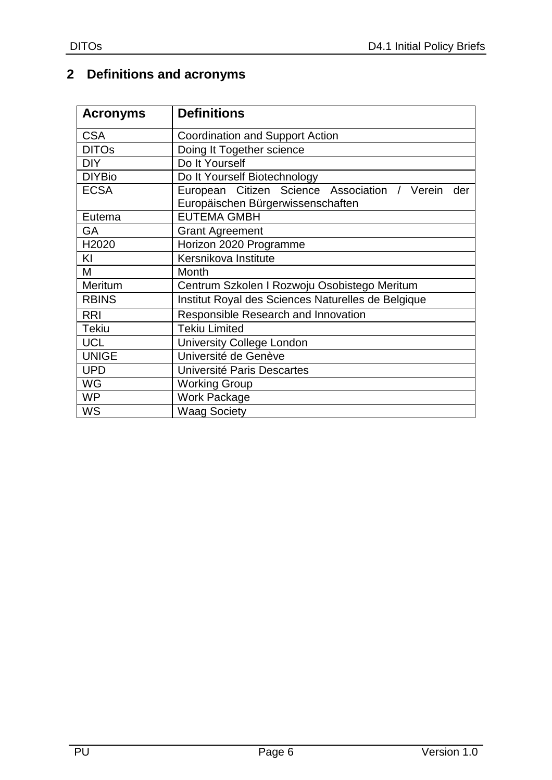## <span id="page-5-0"></span>**2 Definitions and acronyms**

| <b>Acronyms</b> | <b>Definitions</b>                                                                        |
|-----------------|-------------------------------------------------------------------------------------------|
| <b>CSA</b>      | <b>Coordination and Support Action</b>                                                    |
| <b>DITOs</b>    | Doing It Together science                                                                 |
| <b>DIY</b>      | Do It Yourself                                                                            |
| <b>DIYBio</b>   | Do It Yourself Biotechnology                                                              |
| <b>ECSA</b>     | European Citizen Science Association / Verein<br>der<br>Europäischen Bürgerwissenschaften |
| Eutema          | <b>EUTEMA GMBH</b>                                                                        |
| GA              | <b>Grant Agreement</b>                                                                    |
| H2020           | Horizon 2020 Programme                                                                    |
| KI              | Kersnikova Institute                                                                      |
| М               | Month                                                                                     |
| Meritum         | Centrum Szkolen I Rozwoju Osobistego Meritum                                              |
| <b>RBINS</b>    | Institut Royal des Sciences Naturelles de Belgique                                        |
| <b>RRI</b>      | Responsible Research and Innovation                                                       |
| <b>Tekiu</b>    | <b>Tekiu Limited</b>                                                                      |
| <b>UCL</b>      | <b>University College London</b>                                                          |
| <b>UNIGE</b>    | Université de Genève                                                                      |
| <b>UPD</b>      | Université Paris Descartes                                                                |
| WG              | <b>Working Group</b>                                                                      |
| <b>WP</b>       | <b>Work Package</b>                                                                       |
| WS              | <b>Waag Society</b>                                                                       |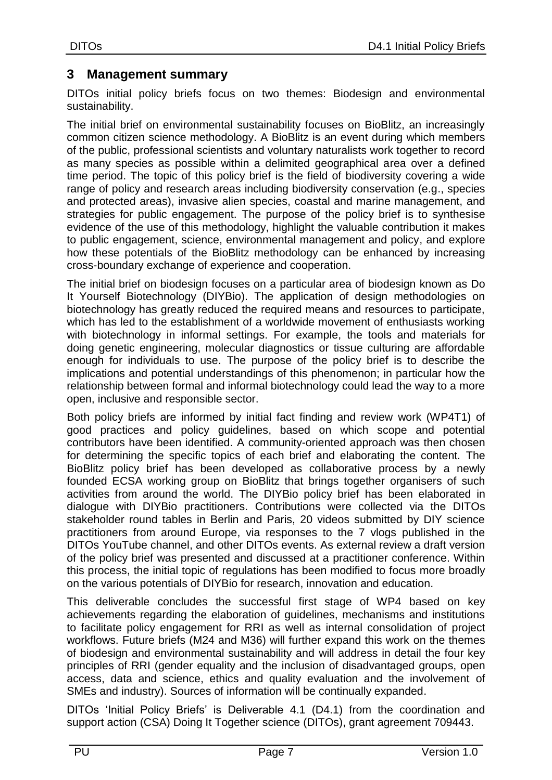## <span id="page-6-0"></span>**3 Management summary**

DITOs initial policy briefs focus on two themes: Biodesign and environmental sustainability.

The initial brief on environmental sustainability focuses on BioBlitz, an increasingly common citizen science methodology. A BioBlitz is an event during which members of the public, professional scientists and voluntary naturalists work together to record as many species as possible within a delimited geographical area over a defined time period. The topic of this policy brief is the field of biodiversity covering a wide range of policy and research areas including biodiversity conservation (e.g., species and protected areas), invasive alien species, coastal and marine management, and strategies for public engagement. The purpose of the policy brief is to synthesise evidence of the use of this methodology, highlight the valuable contribution it makes to public engagement, science, environmental management and policy, and explore how these potentials of the BioBlitz methodology can be enhanced by increasing cross-boundary exchange of experience and cooperation.

The initial brief on biodesign focuses on a particular area of biodesign known as Do It Yourself Biotechnology (DIYBio). The application of design methodologies on biotechnology has greatly reduced the required means and resources to participate, which has led to the establishment of a worldwide movement of enthusiasts working with biotechnology in informal settings. For example, the tools and materials for doing genetic engineering, molecular diagnostics or tissue culturing are affordable enough for individuals to use. The purpose of the policy brief is to describe the implications and potential understandings of this phenomenon; in particular how the relationship between formal and informal biotechnology could lead the way to a more open, inclusive and responsible sector.

Both policy briefs are informed by initial fact finding and review work (WP4T1) of good practices and policy guidelines, based on which scope and potential contributors have been identified. A community-oriented approach was then chosen for determining the specific topics of each brief and elaborating the content. The BioBlitz policy brief has been developed as collaborative process by a newly founded ECSA working group on BioBlitz that brings together organisers of such activities from around the world. The DIYBio policy brief has been elaborated in dialogue with DIYBio practitioners. Contributions were collected via the DITOs stakeholder round tables in Berlin and Paris, 20 videos submitted by DIY science practitioners from around Europe, via responses to the 7 vlogs published in the DITOs YouTube channel, and other DITOs events. As external review a draft version of the policy brief was presented and discussed at a practitioner conference. Within this process, the initial topic of regulations has been modified to focus more broadly on the various potentials of DIYBio for research, innovation and education.

This deliverable concludes the successful first stage of WP4 based on key achievements regarding the elaboration of guidelines, mechanisms and institutions to facilitate policy engagement for RRI as well as internal consolidation of project workflows. Future briefs (M24 and M36) will further expand this work on the themes of biodesign and environmental sustainability and will address in detail the four key principles of RRI (gender equality and the inclusion of disadvantaged groups, open access, data and science, ethics and quality evaluation and the involvement of SMEs and industry). Sources of information will be continually expanded.

DITOs 'Initial Policy Briefs' is Deliverable 4.1 (D4.1) from the coordination and support action (CSA) Doing It Together science (DITOs), grant agreement 709443.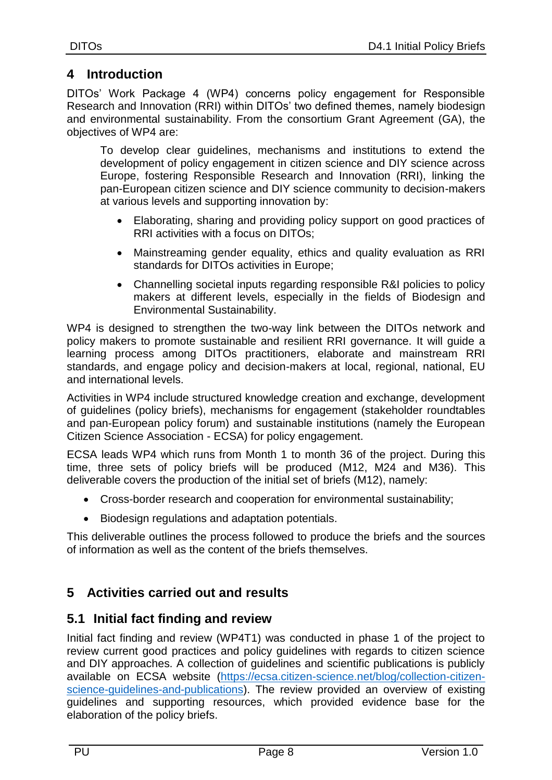## <span id="page-7-0"></span>**4 Introduction**

DITOs' Work Package 4 (WP4) concerns policy engagement for Responsible Research and Innovation (RRI) within DITOs' two defined themes, namely biodesign and environmental sustainability. From the consortium Grant Agreement (GA), the objectives of WP4 are:

To develop clear guidelines, mechanisms and institutions to extend the development of policy engagement in citizen science and DIY science across Europe, fostering Responsible Research and Innovation (RRI), linking the pan-European citizen science and DIY science community to decision-makers at various levels and supporting innovation by:

- Elaborating, sharing and providing policy support on good practices of RRI activities with a focus on DITOs;
- Mainstreaming gender equality, ethics and quality evaluation as RRI standards for DITOs activities in Europe;
- Channelling societal inputs regarding responsible R&I policies to policy makers at different levels, especially in the fields of Biodesign and Environmental Sustainability.

WP4 is designed to strengthen the two-way link between the DITOs network and policy makers to promote sustainable and resilient RRI governance. It will guide a learning process among DITOs practitioners, elaborate and mainstream RRI standards, and engage policy and decision-makers at local, regional, national, EU and international levels.

Activities in WP4 include structured knowledge creation and exchange, development of guidelines (policy briefs), mechanisms for engagement (stakeholder roundtables and pan-European policy forum) and sustainable institutions (namely the European Citizen Science Association - ECSA) for policy engagement.

ECSA leads WP4 which runs from Month 1 to month 36 of the project. During this time, three sets of policy briefs will be produced (M12, M24 and M36). This deliverable covers the production of the initial set of briefs (M12), namely:

- Cross-border research and cooperation for environmental sustainability;
- Biodesign regulations and adaptation potentials.

This deliverable outlines the process followed to produce the briefs and the sources of information as well as the content of the briefs themselves.

## <span id="page-7-1"></span>**5 Activities carried out and results**

## <span id="page-7-2"></span>**5.1 Initial fact finding and review**

Initial fact finding and review (WP4T1) was conducted in phase 1 of the project to review current good practices and policy guidelines with regards to citizen science and DIY approaches. A collection of guidelines and scientific publications is publicly available on ECSA website [\(https://ecsa.citizen-science.net/blog/collection-citizen](https://ecsa.citizen-science.net/blog/collection-citizen-science-guidelines-and-publications)[science-guidelines-and-publications\)](https://ecsa.citizen-science.net/blog/collection-citizen-science-guidelines-and-publications). The review provided an overview of existing guidelines and supporting resources, which provided evidence base for the elaboration of the policy briefs.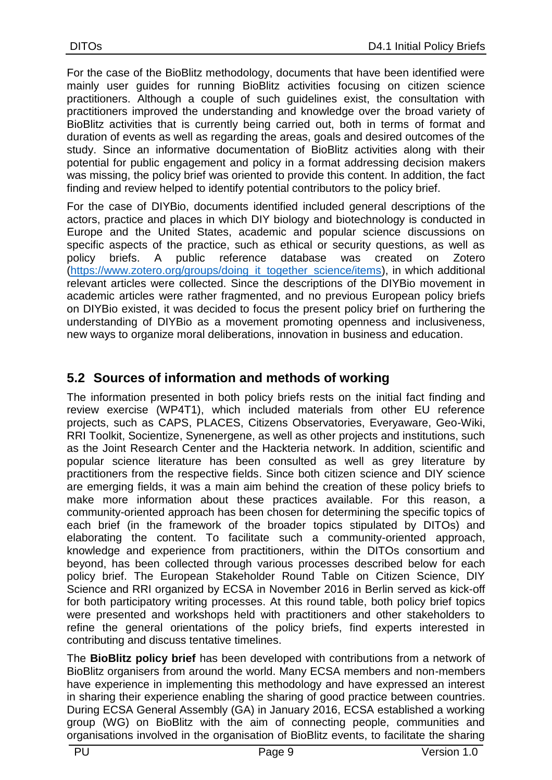For the case of the BioBlitz methodology, documents that have been identified were mainly user guides for running BioBlitz activities focusing on citizen science practitioners. Although a couple of such guidelines exist, the consultation with practitioners improved the understanding and knowledge over the broad variety of BioBlitz activities that is currently being carried out, both in terms of format and duration of events as well as regarding the areas, goals and desired outcomes of the study. Since an informative documentation of BioBlitz activities along with their potential for public engagement and policy in a format addressing decision makers was missing, the policy brief was oriented to provide this content. In addition, the fact finding and review helped to identify potential contributors to the policy brief.

For the case of DIYBio, documents identified included general descriptions of the actors, practice and places in which DIY biology and biotechnology is conducted in Europe and the United States, academic and popular science discussions on specific aspects of the practice, such as ethical or security questions, as well as policy briefs. A public reference database was created on Zotero [\(https://www.zotero.org/groups/doing\\_it\\_together\\_science/items\)](https://www.zotero.org/groups/doing_it_together_science/items), in which additional relevant articles were collected. Since the descriptions of the DIYBio movement in academic articles were rather fragmented, and no previous European policy briefs on DIYBio existed, it was decided to focus the present policy brief on furthering the understanding of DIYBio as a movement promoting openness and inclusiveness, new ways to organize moral deliberations, innovation in business and education.

## <span id="page-8-0"></span>**5.2 Sources of information and methods of working**

The information presented in both policy briefs rests on the initial fact finding and review exercise (WP4T1), which included materials from other EU reference projects, such as CAPS, PLACES, Citizens Observatories, Everyaware, Geo-Wiki, RRI Toolkit, Socientize, Synenergene, as well as other projects and institutions, such as the Joint Research Center and the Hackteria network. In addition, scientific and popular science literature has been consulted as well as grey literature by practitioners from the respective fields. Since both citizen science and DIY science are emerging fields, it was a main aim behind the creation of these policy briefs to make more information about these practices available. For this reason, a community-oriented approach has been chosen for determining the specific topics of each brief (in the framework of the broader topics stipulated by DITOs) and elaborating the content. To facilitate such a community-oriented approach, knowledge and experience from practitioners, within the DITOs consortium and beyond, has been collected through various processes described below for each policy brief. The European Stakeholder Round Table on Citizen Science, DIY Science and RRI organized by ECSA in November 2016 in Berlin served as kick-off for both participatory writing processes. At this round table, both policy brief topics were presented and workshops held with practitioners and other stakeholders to refine the general orientations of the policy briefs, find experts interested in contributing and discuss tentative timelines.

The **BioBlitz policy brief** has been developed with contributions from a network of BioBlitz organisers from around the world. Many ECSA members and non-members have experience in implementing this methodology and have expressed an interest in sharing their experience enabling the sharing of good practice between countries. During ECSA General Assembly (GA) in January 2016, ECSA established a working group (WG) on BioBlitz with the aim of connecting people, communities and organisations involved in the organisation of BioBlitz events, to facilitate the sharing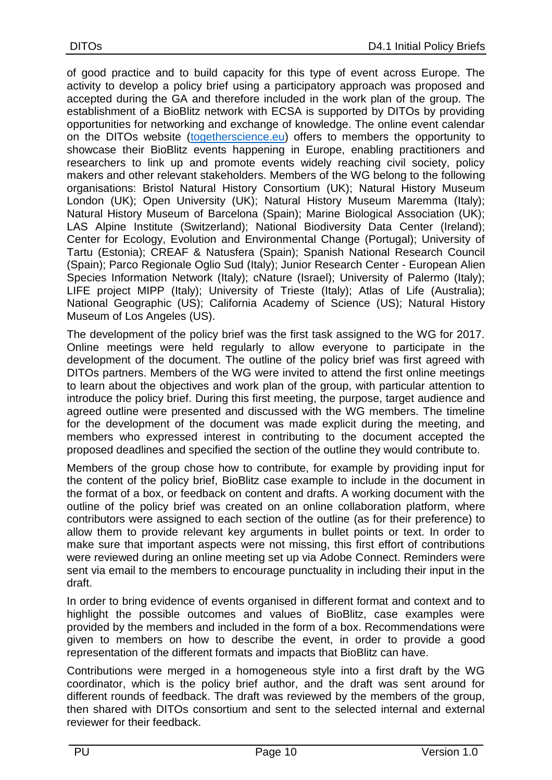of good practice and to build capacity for this type of event across Europe. The activity to develop a policy brief using a participatory approach was proposed and accepted during the GA and therefore included in the work plan of the group. The establishment of a BioBlitz network with ECSA is supported by DITOs by providing opportunities for networking and exchange of knowledge. The online event calendar on the DITOs website [\(togetherscience.eu\)](http://www.togetherscience.eu/) offers to members the opportunity to showcase their BioBlitz events happening in Europe, enabling practitioners and researchers to link up and promote events widely reaching civil society, policy makers and other relevant stakeholders. Members of the WG belong to the following organisations: Bristol Natural History Consortium (UK); Natural History Museum London (UK); Open University (UK); Natural History Museum Maremma (Italy); Natural History Museum of Barcelona (Spain); Marine Biological Association (UK); LAS Alpine Institute (Switzerland); National Biodiversity Data Center (Ireland); Center for Ecology, Evolution and Environmental Change (Portugal); University of Tartu (Estonia); CREAF & Natusfera (Spain); Spanish National Research Council (Spain); Parco Regionale Oglio Sud (Italy); Junior Research Center - European Alien Species Information Network (Italy); cNature (Israel); University of Palermo (Italy); LIFE project MIPP (Italy); University of Trieste (Italy); Atlas of Life (Australia); National Geographic (US); California Academy of Science (US); Natural History Museum of Los Angeles (US).

The development of the policy brief was the first task assigned to the WG for 2017. Online meetings were held regularly to allow everyone to participate in the development of the document. The outline of the policy brief was first agreed with DITOs partners. Members of the WG were invited to attend the first online meetings to learn about the objectives and work plan of the group, with particular attention to introduce the policy brief. During this first meeting, the purpose, target audience and agreed outline were presented and discussed with the WG members. The timeline for the development of the document was made explicit during the meeting, and members who expressed interest in contributing to the document accepted the proposed deadlines and specified the section of the outline they would contribute to.

Members of the group chose how to contribute, for example by providing input for the content of the policy brief, BioBlitz case example to include in the document in the format of a box, or feedback on content and drafts. A working document with the outline of the policy brief was created on an online collaboration platform, where contributors were assigned to each section of the outline (as for their preference) to allow them to provide relevant key arguments in bullet points or text. In order to make sure that important aspects were not missing, this first effort of contributions were reviewed during an online meeting set up via Adobe Connect. Reminders were sent via email to the members to encourage punctuality in including their input in the draft.

In order to bring evidence of events organised in different format and context and to highlight the possible outcomes and values of BioBlitz, case examples were provided by the members and included in the form of a box. Recommendations were given to members on how to describe the event, in order to provide a good representation of the different formats and impacts that BioBlitz can have.

Contributions were merged in a homogeneous style into a first draft by the WG coordinator, which is the policy brief author, and the draft was sent around for different rounds of feedback. The draft was reviewed by the members of the group, then shared with DITOs consortium and sent to the selected internal and external reviewer for their feedback.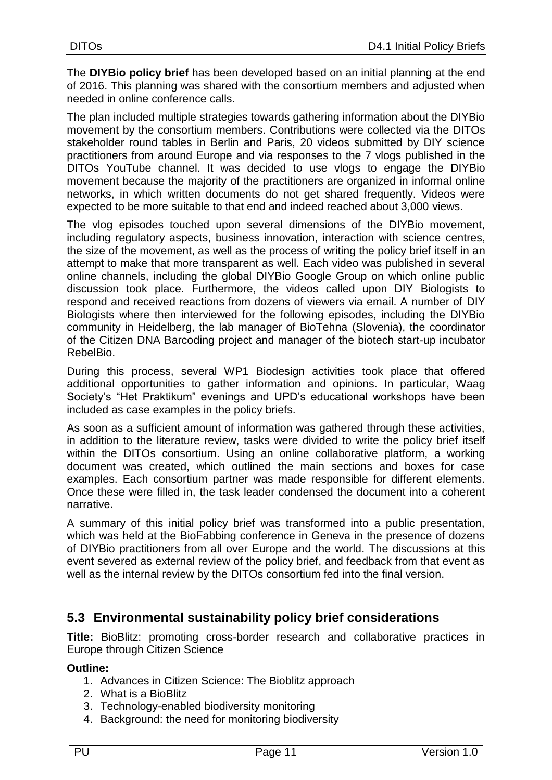The **DIYBio policy brief** has been developed based on an initial planning at the end of 2016. This planning was shared with the consortium members and adjusted when needed in online conference calls.

The plan included multiple strategies towards gathering information about the DIYBio movement by the consortium members. Contributions were collected via the DITOs stakeholder round tables in Berlin and Paris, 20 videos submitted by DIY science practitioners from around Europe and via responses to the 7 vlogs published in the DITOs YouTube channel. It was decided to use vlogs to engage the DIYBio movement because the majority of the practitioners are organized in informal online networks, in which written documents do not get shared frequently. Videos were expected to be more suitable to that end and indeed reached about 3,000 views.

The vlog episodes touched upon several dimensions of the DIYBio movement, including regulatory aspects, business innovation, interaction with science centres, the size of the movement, as well as the process of writing the policy brief itself in an attempt to make that more transparent as well. Each video was published in several online channels, including the global DIYBio Google Group on which online public discussion took place. Furthermore, the videos called upon DIY Biologists to respond and received reactions from dozens of viewers via email. A number of DIY Biologists where then interviewed for the following episodes, including the DIYBio community in Heidelberg, the lab manager of BioTehna (Slovenia), the coordinator of the Citizen DNA Barcoding project and manager of the biotech start-up incubator RebelBio.

During this process, several WP1 Biodesign activities took place that offered additional opportunities to gather information and opinions. In particular, Waag Society's "Het Praktikum" evenings and UPD's educational workshops have been included as case examples in the policy briefs.

As soon as a sufficient amount of information was gathered through these activities, in addition to the literature review, tasks were divided to write the policy brief itself within the DITOs consortium. Using an online collaborative platform, a working document was created, which outlined the main sections and boxes for case examples. Each consortium partner was made responsible for different elements. Once these were filled in, the task leader condensed the document into a coherent narrative.

A summary of this initial policy brief was transformed into a public presentation, which was held at the BioFabbing conference in Geneva in the presence of dozens of DIYBio practitioners from all over Europe and the world. The discussions at this event severed as external review of the policy brief, and feedback from that event as well as the internal review by the DITOs consortium fed into the final version.

## <span id="page-10-0"></span>**5.3 Environmental sustainability policy brief considerations**

**Title:** BioBlitz: promoting cross-border research and collaborative practices in Europe through Citizen Science

#### **Outline:**

- 1. Advances in Citizen Science: The Bioblitz approach
- 2. What is a BioBlitz
- 3. Technology-enabled biodiversity monitoring
- 4. Background: the need for monitoring biodiversity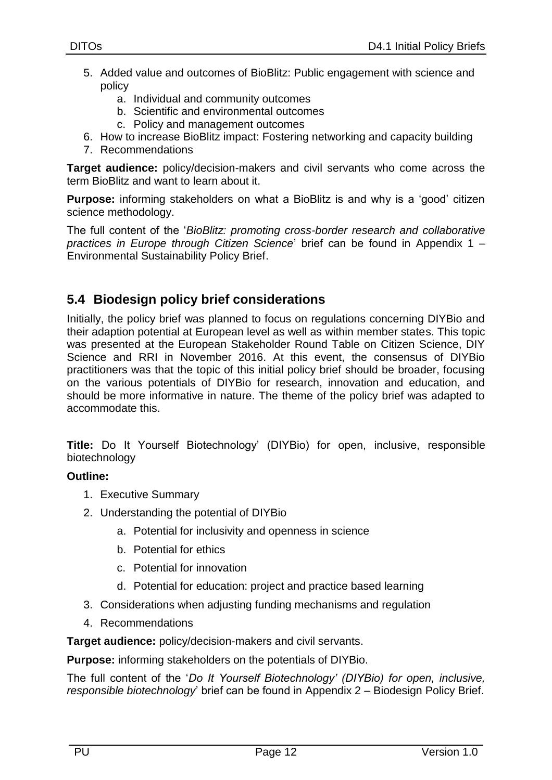- 5. Added value and outcomes of BioBlitz: Public engagement with science and policy
	- a. Individual and community outcomes
	- b. Scientific and environmental outcomes
	- c. Policy and management outcomes
- 6. How to increase BioBlitz impact: Fostering networking and capacity building
- 7. Recommendations

**Target audience:** policy/decision-makers and civil servants who come across the term BioBlitz and want to learn about it.

**Purpose:** informing stakeholders on what a BioBlitz is and why is a 'good' citizen science methodology.

The full content of the '*BioBlitz: promoting cross-border research and collaborative practices in Europe through Citizen Science*' brief can be found in Appendix 1 – Environmental Sustainability Policy Brief.

## <span id="page-11-0"></span>**5.4 Biodesign policy brief considerations**

Initially, the policy brief was planned to focus on regulations concerning DIYBio and their adaption potential at European level as well as within member states. This topic was presented at the European Stakeholder Round Table on Citizen Science, DIY Science and RRI in November 2016. At this event, the consensus of DIYBio practitioners was that the topic of this initial policy brief should be broader, focusing on the various potentials of DIYBio for research, innovation and education, and should be more informative in nature. The theme of the policy brief was adapted to accommodate this.

**Title:** Do It Yourself Biotechnology' (DIYBio) for open, inclusive, responsible biotechnology

#### **Outline:**

- 1. Executive Summary
- 2. Understanding the potential of DIYBio
	- a. Potential for inclusivity and openness in science
	- b. Potential for ethics
	- c. Potential for innovation
	- d. Potential for education: project and practice based learning
- 3. Considerations when adjusting funding mechanisms and regulation
- 4. Recommendations

**Target audience:** policy/decision-makers and civil servants.

**Purpose:** informing stakeholders on the potentials of DIYBio.

The full content of the '*Do It Yourself Biotechnology' (DIYBio) for open, inclusive, responsible biotechnology*' brief can be found in Appendix 2 – Biodesign Policy Brief.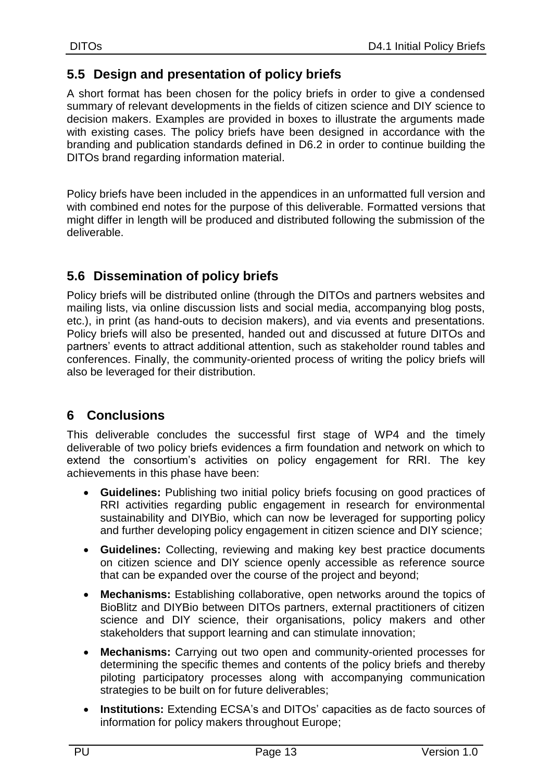### <span id="page-12-0"></span>**5.5 Design and presentation of policy briefs**

A short format has been chosen for the policy briefs in order to give a condensed summary of relevant developments in the fields of citizen science and DIY science to decision makers. Examples are provided in boxes to illustrate the arguments made with existing cases. The policy briefs have been designed in accordance with the branding and publication standards defined in D6.2 in order to continue building the DITOs brand regarding information material.

Policy briefs have been included in the appendices in an unformatted full version and with combined end notes for the purpose of this deliverable. Formatted versions that might differ in length will be produced and distributed following the submission of the deliverable.

## <span id="page-12-1"></span>**5.6 Dissemination of policy briefs**

Policy briefs will be distributed online (through the DITOs and partners websites and mailing lists, via online discussion lists and social media, accompanying blog posts, etc.), in print (as hand-outs to decision makers), and via events and presentations. Policy briefs will also be presented, handed out and discussed at future DITOs and partners' events to attract additional attention, such as stakeholder round tables and conferences. Finally, the community-oriented process of writing the policy briefs will also be leveraged for their distribution.

## <span id="page-12-2"></span>**6 Conclusions**

This deliverable concludes the successful first stage of WP4 and the timely deliverable of two policy briefs evidences a firm foundation and network on which to extend the consortium's activities on policy engagement for RRI. The key achievements in this phase have been:

- **Guidelines:** Publishing two initial policy briefs focusing on good practices of RRI activities regarding public engagement in research for environmental sustainability and DIYBio, which can now be leveraged for supporting policy and further developing policy engagement in citizen science and DIY science;
- **Guidelines:** Collecting, reviewing and making key best practice documents on citizen science and DIY science openly accessible as reference source that can be expanded over the course of the project and beyond;
- **Mechanisms:** Establishing collaborative, open networks around the topics of BioBlitz and DIYBio between DITOs partners, external practitioners of citizen science and DIY science, their organisations, policy makers and other stakeholders that support learning and can stimulate innovation;
- **Mechanisms:** Carrying out two open and community-oriented processes for determining the specific themes and contents of the policy briefs and thereby piloting participatory processes along with accompanying communication strategies to be built on for future deliverables;
- **Institutions:** Extending ECSA's and DITOs' capacities as de facto sources of information for policy makers throughout Europe;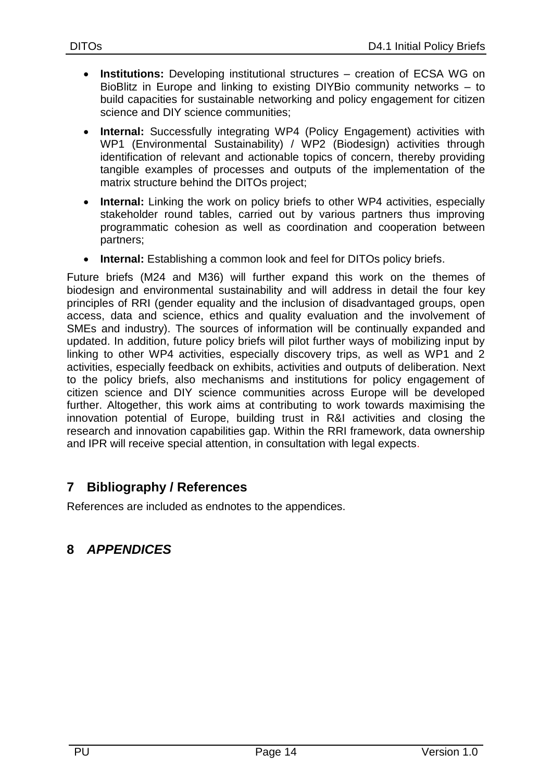- **Institutions:** Developing institutional structures creation of ECSA WG on BioBlitz in Europe and linking to existing DIYBio community networks – to build capacities for sustainable networking and policy engagement for citizen science and DIY science communities;
- **Internal:** Successfully integrating WP4 (Policy Engagement) activities with WP1 (Environmental Sustainability) / WP2 (Biodesign) activities through identification of relevant and actionable topics of concern, thereby providing tangible examples of processes and outputs of the implementation of the matrix structure behind the DITOs project;
- **Internal:** Linking the work on policy briefs to other WP4 activities, especially stakeholder round tables, carried out by various partners thus improving programmatic cohesion as well as coordination and cooperation between partners;
- **Internal:** Establishing a common look and feel for DITOs policy briefs.

Future briefs (M24 and M36) will further expand this work on the themes of biodesign and environmental sustainability and will address in detail the four key principles of RRI (gender equality and the inclusion of disadvantaged groups, open access, data and science, ethics and quality evaluation and the involvement of SMEs and industry). The sources of information will be continually expanded and updated. In addition, future policy briefs will pilot further ways of mobilizing input by linking to other WP4 activities, especially discovery trips, as well as WP1 and 2 activities, especially feedback on exhibits, activities and outputs of deliberation. Next to the policy briefs, also mechanisms and institutions for policy engagement of citizen science and DIY science communities across Europe will be developed further. Altogether, this work aims at contributing to work towards maximising the innovation potential of Europe, building trust in R&I activities and closing the research and innovation capabilities gap. Within the RRI framework, data ownership and IPR will receive special attention, in consultation with legal expects.

## <span id="page-13-0"></span>**7 Bibliography / References**

References are included as endnotes to the appendices.

## <span id="page-13-1"></span>**8** *APPENDICES*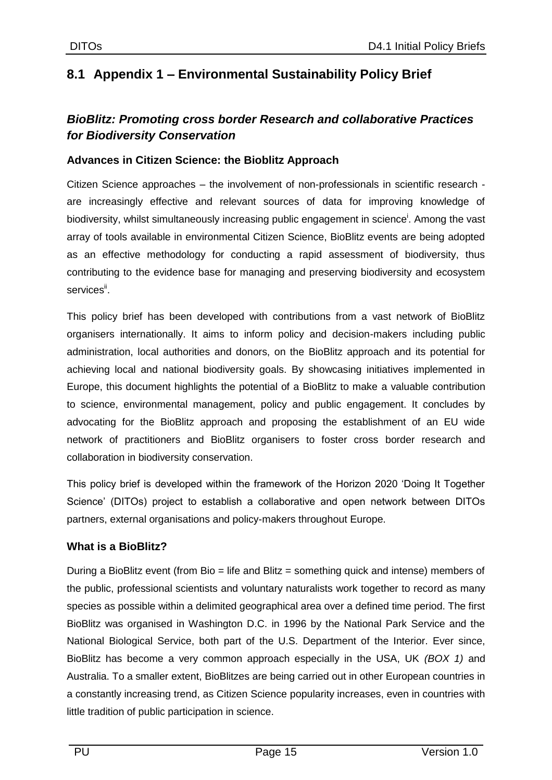## <span id="page-14-0"></span>**8.1 Appendix 1 – Environmental Sustainability Policy Brief**

### *BioBlitz: Promoting cross border Research and collaborative Practices for Biodiversity Conservation*

#### **Advances in Citizen Science: the Bioblitz Approach**

Citizen Science approaches – the involvement of non-professionals in scientific research are increasingly effective and relevant sources of data for improving knowledge of biodiversity, whilst simultaneously increasing public engagement in science<sup>i</sup>. Among the vast array of tools available in environmental Citizen Science, BioBlitz events are being adopted as an effective methodology for conducting a rapid assessment of biodiversity, thus contributing to the evidence base for managing and preserving biodiversity and ecosystem services".

This policy brief has been developed with contributions from a vast network of BioBlitz organisers internationally. It aims to inform policy and decision-makers including public administration, local authorities and donors, on the BioBlitz approach and its potential for achieving local and national biodiversity goals. By showcasing initiatives implemented in Europe, this document highlights the potential of a BioBlitz to make a valuable contribution to science, environmental management, policy and public engagement. It concludes by advocating for the BioBlitz approach and proposing the establishment of an EU wide network of practitioners and BioBlitz organisers to foster cross border research and collaboration in biodiversity conservation.

This policy brief is developed within the framework of the Horizon 2020 'Doing It Together Science' (DITOs) project to establish a collaborative and open network between DITOs partners, external organisations and policy-makers throughout Europe.

#### **What is a BioBlitz?**

During a BioBlitz event (from Bio = life and Blitz = something quick and intense) members of the public, professional scientists and voluntary naturalists work together to record as many species as possible within a delimited geographical area over a defined time period. The first BioBlitz was organised in Washington D.C. in 1996 by the National Park Service and the National Biological Service, both part of the U.S. Department of the Interior. Ever since, BioBlitz has become a very common approach especially in the USA, UK *(BOX 1)* and Australia. To a smaller extent, BioBlitzes are being carried out in other European countries in a constantly increasing trend, as Citizen Science popularity increases, even in countries with little tradition of public participation in science.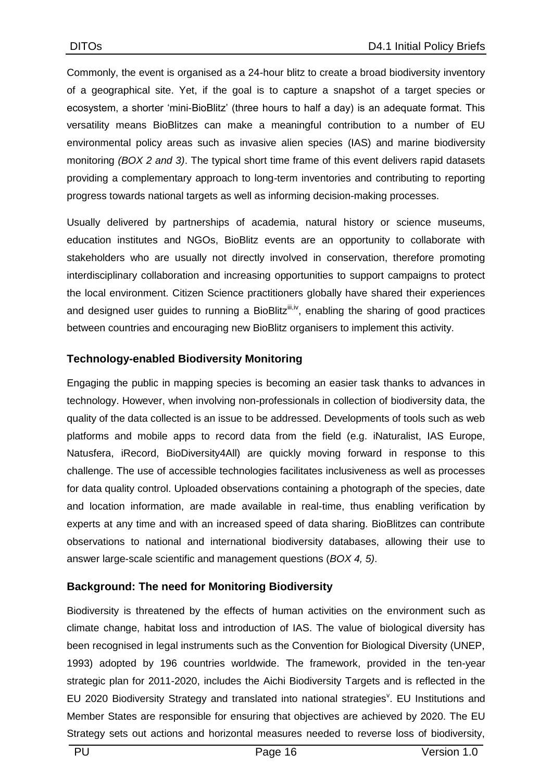Commonly, the event is organised as a 24-hour blitz to create a broad biodiversity inventory of a geographical site. Yet, if the goal is to capture a snapshot of a target species or ecosystem, a shorter 'mini-BioBlitz' (three hours to half a day) is an adequate format. This versatility means BioBlitzes can make a meaningful contribution to a number of EU environmental policy areas such as invasive alien species (IAS) and marine biodiversity monitoring *(BOX 2 and 3)*. The typical short time frame of this event delivers rapid datasets providing a complementary approach to long-term inventories and contributing to reporting progress towards national targets as well as informing decision-making processes.

Usually delivered by partnerships of academia, natural history or science museums, education institutes and NGOs, BioBlitz events are an opportunity to collaborate with stakeholders who are usually not directly involved in conservation, therefore promoting interdisciplinary collaboration and increasing opportunities to support campaigns to protect the local environment. Citizen Science practitioners globally have shared their experiences and designed user guides to running a BioBlitz<sup>iii,iv</sup>, enabling the sharing of good practices between countries and encouraging new BioBlitz organisers to implement this activity.

#### **Technology-enabled Biodiversity Monitoring**

Engaging the public in mapping species is becoming an easier task thanks to advances in technology. However, when involving non-professionals in collection of biodiversity data, the quality of the data collected is an issue to be addressed. Developments of tools such as web platforms and mobile apps to record data from the field (e.g. iNaturalist, IAS Europe, Natusfera, iRecord, BioDiversity4All) are quickly moving forward in response to this challenge. The use of accessible technologies facilitates inclusiveness as well as processes for data quality control. Uploaded observations containing a photograph of the species, date and location information, are made available in real-time, thus enabling verification by experts at any time and with an increased speed of data sharing. BioBlitzes can contribute observations to national and international biodiversity databases, allowing their use to answer large-scale scientific and management questions (*BOX 4, 5)*.

#### **Background: The need for Monitoring Biodiversity**

Biodiversity is threatened by the effects of human activities on the environment such as climate change, habitat loss and introduction of IAS. The value of biological diversity has been recognised in legal instruments such as the Convention for Biological Diversity (UNEP, 1993) adopted by 196 countries worldwide. The framework, provided in the ten-year strategic plan for 2011-2020, includes the Aichi Biodiversity Targets and is reflected in the EU 2020 Biodiversity Strategy and translated into national strategies<sup>y</sup>. EU Institutions and Member States are responsible for ensuring that objectives are achieved by 2020. The EU Strategy sets out actions and horizontal measures needed to reverse loss of biodiversity,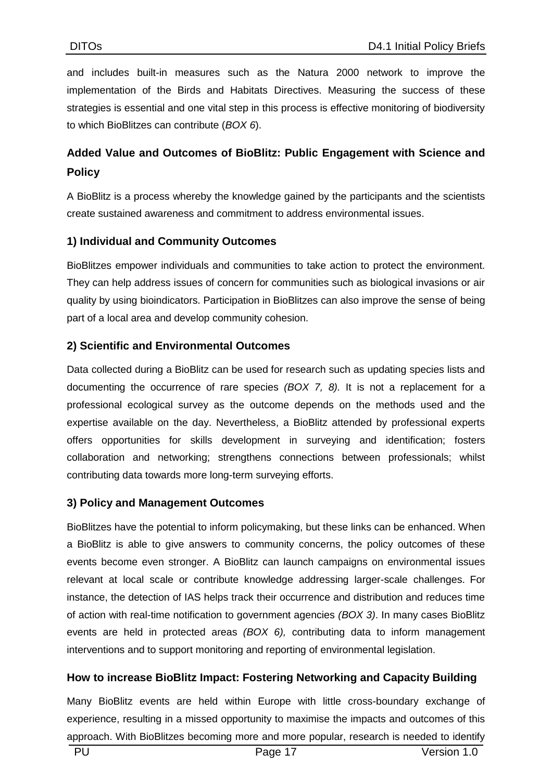and includes built-in measures such as the Natura 2000 network to improve the implementation of the Birds and Habitats Directives. Measuring the success of these strategies is essential and one vital step in this process is effective monitoring of biodiversity to which BioBlitzes can contribute (*BOX 6*).

## **Added Value and Outcomes of BioBlitz: Public Engagement with Science and Policy**

A BioBlitz is a process whereby the knowledge gained by the participants and the scientists create sustained awareness and commitment to address environmental issues.

#### **1) Individual and Community Outcomes**

BioBlitzes empower individuals and communities to take action to protect the environment. They can help address issues of concern for communities such as biological invasions or air quality by using bioindicators. Participation in BioBlitzes can also improve the sense of being part of a local area and develop community cohesion.

#### **2) Scientific and Environmental Outcomes**

Data collected during a BioBlitz can be used for research such as updating species lists and documenting the occurrence of rare species *(BOX 7, 8).* It is not a replacement for a professional ecological survey as the outcome depends on the methods used and the expertise available on the day. Nevertheless, a BioBlitz attended by professional experts offers opportunities for skills development in surveying and identification; fosters collaboration and networking; strengthens connections between professionals; whilst contributing data towards more long-term surveying efforts.

#### **3) Policy and Management Outcomes**

BioBlitzes have the potential to inform policymaking, but these links can be enhanced. When a BioBlitz is able to give answers to community concerns, the policy outcomes of these events become even stronger. A BioBlitz can launch campaigns on environmental issues relevant at local scale or contribute knowledge addressing larger-scale challenges. For instance, the detection of IAS helps track their occurrence and distribution and reduces time of action with real-time notification to government agencies *(BOX 3)*. In many cases BioBlitz events are held in protected areas *(BOX 6),* contributing data to inform management interventions and to support monitoring and reporting of environmental legislation.

#### **How to increase BioBlitz Impact: Fostering Networking and Capacity Building**

Many BioBlitz events are held within Europe with little cross-boundary exchange of experience, resulting in a missed opportunity to maximise the impacts and outcomes of this approach. With BioBlitzes becoming more and more popular, research is needed to identify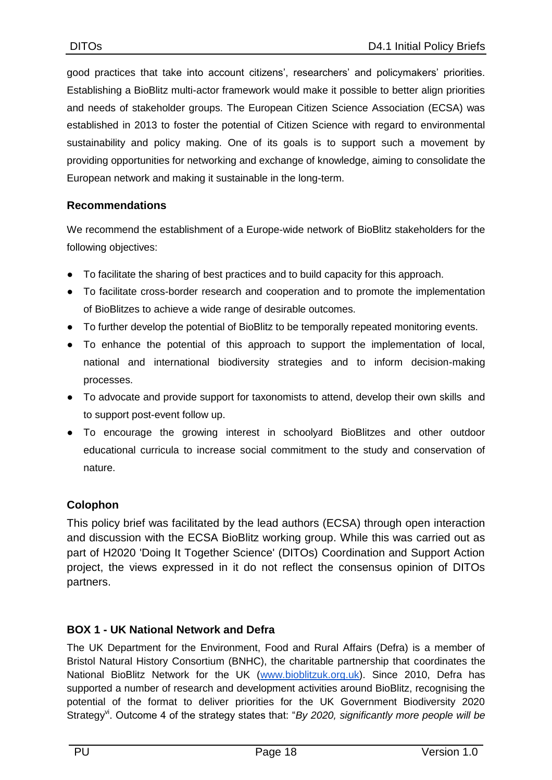good practices that take into account citizens', researchers' and policymakers' priorities. Establishing a BioBlitz multi-actor framework would make it possible to better align priorities and needs of stakeholder groups. The European Citizen Science Association (ECSA) was established in 2013 to foster the potential of Citizen Science with regard to environmental sustainability and policy making. One of its goals is to support such a movement by providing opportunities for networking and exchange of knowledge, aiming to consolidate the European network and making it sustainable in the long-term.

#### **Recommendations**

We recommend the establishment of a Europe-wide network of BioBlitz stakeholders for the following objectives:

- To facilitate the sharing of best practices and to build capacity for this approach.
- To facilitate cross-border research and cooperation and to promote the implementation of BioBlitzes to achieve a wide range of desirable outcomes.
- To further develop the potential of BioBlitz to be temporally repeated monitoring events.
- To enhance the potential of this approach to support the implementation of local, national and international biodiversity strategies and to inform decision-making processes.
- To advocate and provide support for taxonomists to attend, develop their own skills and to support post-event follow up.
- To encourage the growing interest in schoolyard BioBlitzes and other outdoor educational curricula to increase social commitment to the study and conservation of nature.

#### **Colophon**

This policy brief was facilitated by the lead authors (ECSA) through open interaction and discussion with the ECSA BioBlitz working group. While this was carried out as part of H2020 'Doing It Together Science' (DITOs) Coordination and Support Action project, the views expressed in it do not reflect the consensus opinion of DITOs partners.

#### **BOX 1 - UK National Network and Defra**

The UK Department for the Environment, Food and Rural Affairs (Defra) is a member of Bristol Natural History Consortium (BNHC), the charitable partnership that coordinates the National BioBlitz Network for the UK [\(www.bioblitzuk.org.uk\)](http://www.bioblitzuk.org.uk/). Since 2010, Defra has supported a number of research and development activities around BioBlitz, recognising the potential of the format to deliver priorities for the UK Government Biodiversity 2020 Strategy<sup>vi</sup>. Outcome 4 of the strategy states that: "*By 2020, significantly more people will be*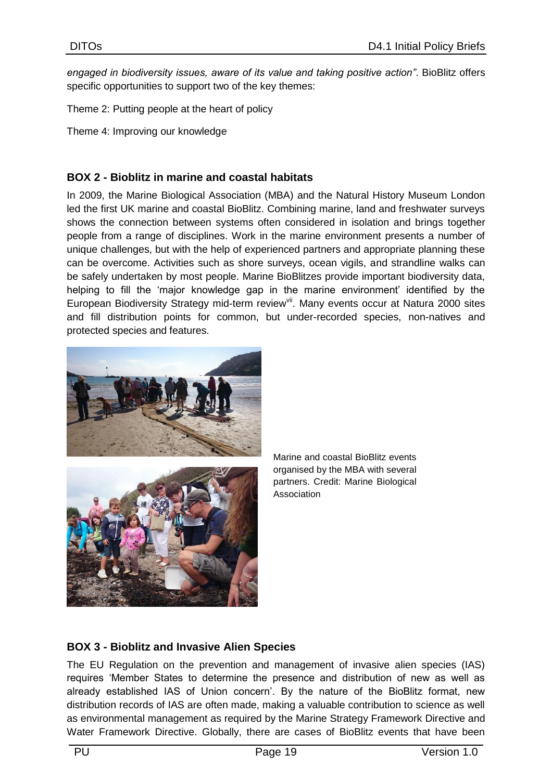*engaged in biodiversity issues, aware of its value and taking positive action"*. BioBlitz offers specific opportunities to support two of the key themes:

Theme 2: Putting people at the heart of policy

Theme 4: Improving our knowledge

#### **BOX 2 - Bioblitz in marine and coastal habitats**

In 2009, the Marine Biological Association (MBA) and the Natural History Museum London led the first UK marine and coastal BioBlitz. Combining marine, land and freshwater surveys shows the connection between systems often considered in isolation and brings together people from a range of disciplines. Work in the marine environment presents a number of unique challenges, but with the help of experienced partners and appropriate planning these can be overcome. Activities such as shore surveys, ocean vigils, and strandline walks can be safely undertaken by most people. Marine BioBlitzes provide important biodiversity data, helping to fill the 'major knowledge gap in the marine environment' identified by the European Biodiversity Strategy mid-term review<sup>vii</sup>. Many events occur at Natura 2000 sites and fill distribution points for common, but under-recorded species, non-natives and protected species and features.





Marine and coastal BioBlitz events organised by the MBA with several partners. Credit: Marine Biological Association

#### **BOX 3 - Bioblitz and Invasive Alien Species**

The EU Regulation on the prevention and management of invasive alien species (IAS) requires 'Member States to determine the presence and distribution of new as well as already established IAS of Union concern'. By the nature of the BioBlitz format, new distribution records of IAS are often made, making a valuable contribution to science as well as environmental management as required by the Marine Strategy Framework Directive and Water Framework Directive. Globally, there are cases of BioBlitz events that have been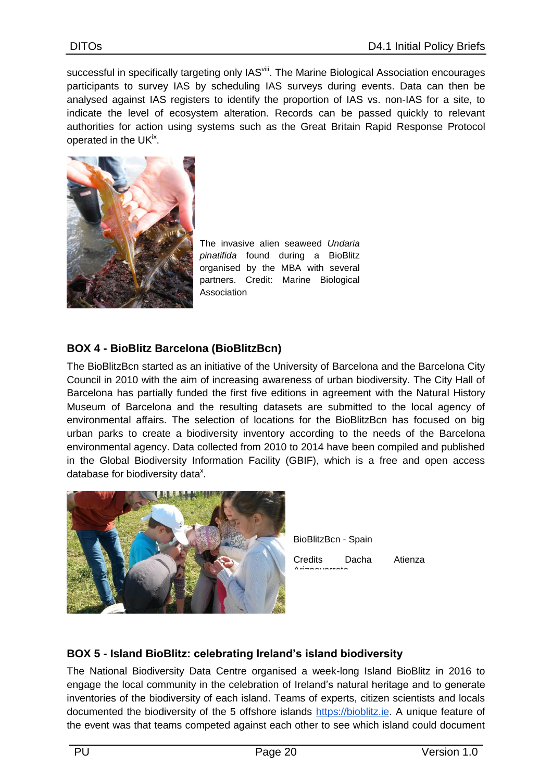successful in specifically targeting only IAS<sup>viii</sup>. The Marine Biological Association encourages participants to survey IAS by scheduling IAS surveys during events. Data can then be analysed against IAS registers to identify the proportion of IAS vs. non-IAS for a site, to indicate the level of ecosystem alteration. Records can be passed quickly to relevant authorities for action using systems such as the Great Britain Rapid Response Protocol operated in the UK<sup>ix</sup>.



The invasive alien seaweed *Undaria pinatifida* found during a BioBlitz organised by the MBA with several partners. Credit: Marine Biological Association

#### **BOX 4 - BioBlitz Barcelona (BioBlitzBcn)**

The BioBlitzBcn started as an initiative of the University of Barcelona and the Barcelona City Council in 2010 with the aim of increasing awareness of urban biodiversity. The City Hall of Barcelona has partially funded the first five editions in agreement with the Natural History Museum of Barcelona and the resulting datasets are submitted to the local agency of environmental affairs. The selection of locations for the BioBlitzBcn has focused on big urban parks to create a biodiversity inventory according to the needs of the Barcelona environmental agency. Data collected from 2010 to 2014 have been compiled and published in the Global Biodiversity Information Facility (GBIF), which is a free and open access database for biodiversity data<sup>x</sup>.



BioBlitzBcn - Spain

Credits Dacha Atienza Ariznavarreta

#### **BOX 5 - Island BioBlitz: celebrating Ireland's island biodiversity**

The National Biodiversity Data Centre organised a week-long Island BioBlitz in 2016 to engage the local community in the celebration of Ireland's natural heritage and to generate inventories of the biodiversity of each island. Teams of experts, citizen scientists and locals documented the biodiversity of the 5 offshore islands [https://bioblitz.ie.](https://bioblitz.ie/) A unique feature of the event was that teams competed against each other to see which island could document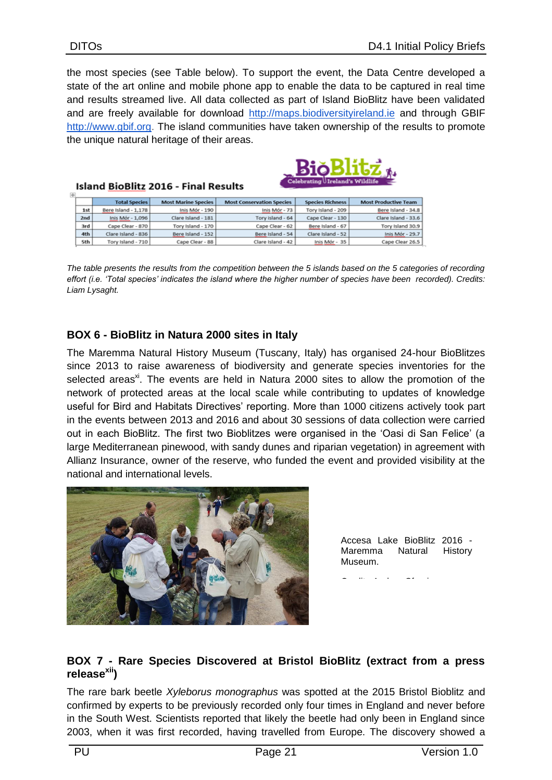the most species (see Table below). To support the event, the Data Centre developed a state of the art online and mobile phone app to enable the data to be captured in real time and results streamed live. All data collected as part of Island BioBlitz have been validated and are freely available for download [http://maps.biodiversityireland.ie](http://maps.biodiversityireland.ie/) and through GBI[F](http://www.gbif.org/) [http://www.gbif.org.](http://www.gbif.org/) The island communities have taken ownership of the results to promote the unique natural heritage of their areas.

BiŏBlitž.

| 围 | . .<br>Celebrating Ireland's Wildlife<br><b>Island BioBlitz 2016 - Final Results</b> |                      |                            |                                  |                         |                             |  |  |
|---|--------------------------------------------------------------------------------------|----------------------|----------------------------|----------------------------------|-------------------------|-----------------------------|--|--|
|   |                                                                                      | <b>Total Species</b> | <b>Most Marine Species</b> | <b>Most Conservation Species</b> | <b>Species Richness</b> | <b>Most Productive Team</b> |  |  |
|   | 1st                                                                                  | Bere Island - 1,178  | Inis Mór - 190             | Inis Mór - 73                    | Tory Island - 209       | Bere Island - 34.8          |  |  |
|   | 2nd                                                                                  | Inis Mór - 1,096     | Clare Island - 181         | Tory Island - 64                 | Cape Clear - 130        | Clare Island - 33.6         |  |  |
|   | 3rd                                                                                  | Cape Clear - 870     | Tory Island - 170          | Cape Clear - 62                  | Bere Island - 67        | Tory Island 30.9            |  |  |
|   | 4th                                                                                  | Clare Island - 836   | Bere Island - 152          | Bere Island - 54                 | Clare Island - 52       | Inis Mór - 29.7             |  |  |
|   | 5th                                                                                  | Tory Island - 710    | Cape Clear - 88            | Clare Island - 42                | Inis Mór - 35           | Cape Clear 26.5             |  |  |

*The table presents the results from the competition between the 5 islands based on the 5 categories of recording effort (i.e. 'Total species' indicates the island where the higher number of species have been recorded). Credits: Liam Lysaght.*

#### **BOX 6 - BioBlitz in Natura 2000 sites in Italy**

The Maremma Natural History Museum (Tuscany, Italy) has organised 24-hour BioBlitzes since 2013 to raise awareness of biodiversity and generate species inventories for the selected areas<sup>xi</sup>. The events are held in Natura 2000 sites to allow the promotion of the network of protected areas at the local scale while contributing to updates of knowledge useful for Bird and Habitats Directives' reporting. More than 1000 citizens actively took part in the events between 2013 and 2016 and about 30 sessions of data collection were carried out in each BioBlitz. The first two Bioblitzes were organised in the 'Oasi di San Felice' (a large Mediterranean pinewood, with sandy dunes and riparian vegetation) in agreement with Allianz Insurance, owner of the reserve, who funded the event and provided visibility at the national and international levels.



Accesa Lake BioBlitz 2016 - Maremma Natural History Museum.

Credits Andrea Sforzi.

#### **BOX 7 - Rare Species Discovered at Bristol BioBlitz (extract from a press releasexii)**

The rare bark beetle *Xyleborus monographus* was spotted at the 2015 Bristol Bioblitz and confirmed by experts to be previously recorded only four times in England and never before in the South West. Scientists reported that likely the beetle had only been in England since 2003, when it was first recorded, having travelled from Europe. The discovery showed a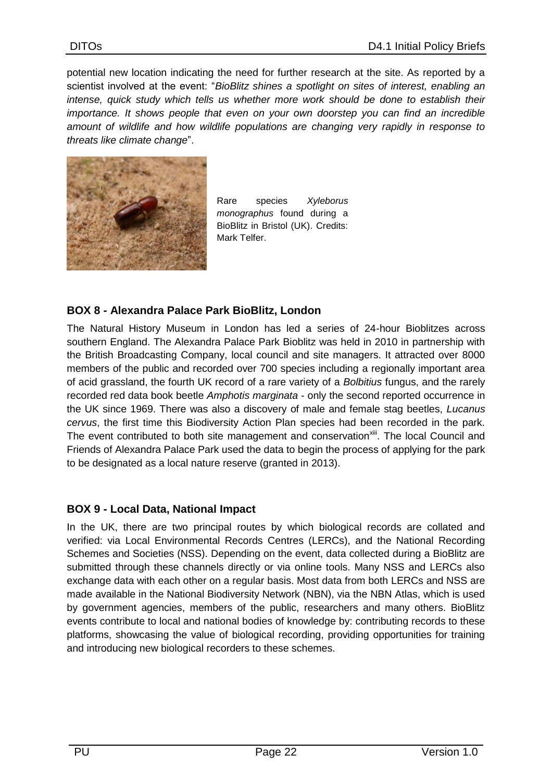potential new location indicating the need for further research at the site. As reported by a scientist involved at the event: "*BioBlitz shines a spotlight on sites of interest, enabling an intense, quick study which tells us whether more work should be done to establish their importance. It shows people that even on your own doorstep you can find an incredible amount of wildlife and how wildlife populations are changing very rapidly in response to threats like climate change*".



Rare species *Xyleborus monographus* found during a BioBlitz in Bristol (UK). Credits: Mark Telfer.

#### **BOX 8 - Alexandra Palace Park BioBlitz, London**

The Natural History Museum in London has led a series of 24-hour Bioblitzes across southern England. The Alexandra Palace Park Bioblitz was held in 2010 in partnership with the British Broadcasting Company, local council and site managers. It attracted over 8000 members of the public and recorded over 700 species including a regionally important area of acid grassland, the fourth UK record of a rare variety of a *Bolbitius* fungus, and the rarely recorded red data book beetle *Amphotis marginata* - only the second reported occurrence in the UK since 1969. There was also a discovery of male and female stag beetles, *Lucanus cervus*, the first time this Biodiversity Action Plan species had been recorded in the park. The event contributed to both site management and conservation<sup>xiii</sup>. The local Council and Friends of Alexandra Palace Park used the data to begin the process of applying for the park to be designated as a local nature reserve (granted in 2013).

#### **BOX 9 - Local Data, National Impact**

<span id="page-21-0"></span>In the UK, there are two principal routes by which biological records are collated and verified: via Local Environmental Records Centres (LERCs), and the National Recording Schemes and Societies (NSS). Depending on the event, data collected during a BioBlitz are submitted through these channels directly or via online tools. Many NSS and LERCs also exchange data with each other on a regular basis. Most data from both LERCs and NSS are made available in the National Biodiversity Network (NBN), via the NBN Atlas, which is used by government agencies, members of the public, researchers and many others. BioBlitz events contribute to local and national bodies of knowledge by: contributing records to these platforms, showcasing the value of biological recording, providing opportunities for training and introducing new biological recorders to these schemes.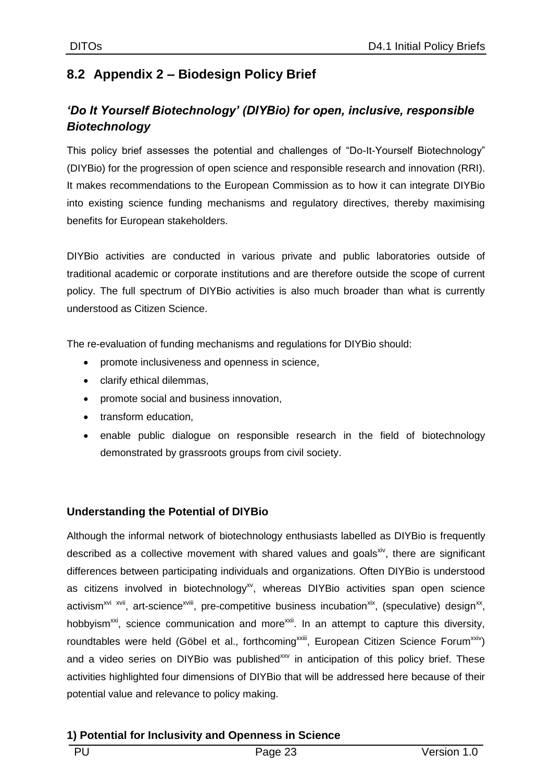## **8.2 Appendix 2 – Biodesign Policy Brief**

## *'Do It Yourself Biotechnology' (DIYBio) for open, inclusive, responsible Biotechnology*

This policy brief assesses the potential and challenges of "Do-It-Yourself Biotechnology" (DIYBio) for the progression of open science and responsible research and innovation (RRI). It makes recommendations to the European Commission as to how it can integrate DIYBio into existing science funding mechanisms and regulatory directives, thereby maximising benefits for European stakeholders.

DIYBio activities are conducted in various private and public laboratories outside of traditional academic or corporate institutions and are therefore outside the scope of current policy. The full spectrum of DIYBio activities is also much broader than what is currently understood as Citizen Science.

The re-evaluation of funding mechanisms and regulations for DIYBio should:

- promote inclusiveness and openness in science,
- clarify ethical dilemmas,
- promote social and business innovation,
- transform education,
- enable public dialogue on responsible research in the field of biotechnology demonstrated by grassroots groups from civil society.

#### **Understanding the Potential of DIYBio**

Although the informal network of biotechnology enthusiasts labelled as DIYBio is frequently described as a collective movement with shared values and goals<sup>xiv</sup>, there are significant differences between participating individuals and organizations. Often DIYBio is understood as citizens involved in biotechnology<sup>xy</sup>, whereas DIYBio activities span open science activism<sup>xvi xvii</sup>, art-science<sup>xviii</sup>, pre-competitive business incubation<sup>xix</sup>, (speculative) design<sup>xx</sup>, hobbyism<sup> $xx$ i</sup>, science communication and more<sup> $xxii$ </sup>. In an attempt to capture this diversity, roundtables were held (Göbel et al., forthcoming<sup>xxiii</sup>, European Citizen Science Forum<sup>xxiv</sup>) and a video series on DIYBio was published<sup>xxv</sup> in anticipation of this policy brief. These activities highlighted four dimensions of DIYBio that will be addressed here because of their potential value and relevance to policy making.

#### **1) Potential for Inclusivity and Openness in Science**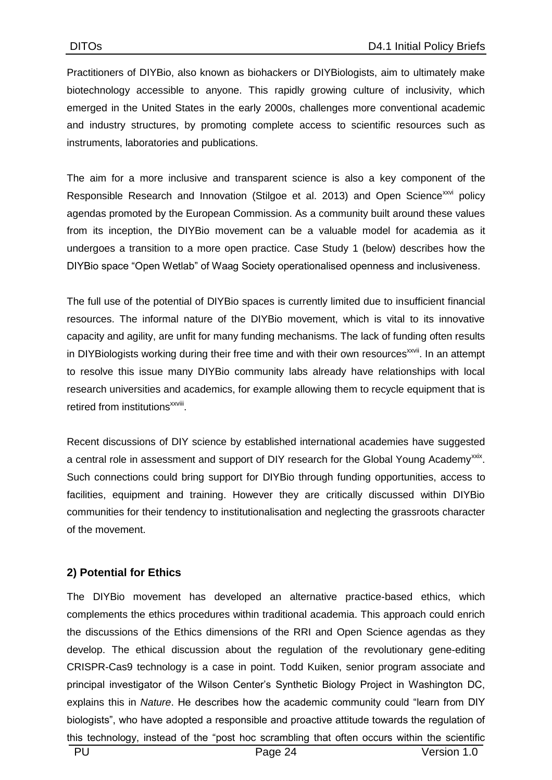Practitioners of DIYBio, also known as biohackers or DIYBiologists, aim to ultimately make biotechnology accessible to anyone. This rapidly growing culture of inclusivity, which emerged in the United States in the early 2000s, challenges more conventional academic and industry structures, by promoting complete access to scientific resources such as instruments, laboratories and publications.

The aim for a more inclusive and transparent science is also a key component of the Responsible Research and Innovation (Stilgoe et al. 2013) and Open Science<sup>xxvi</sup> policy agendas promoted by the European Commission. As a community built around these values from its inception, the DIYBio movement can be a valuable model for academia as it undergoes a transition to a more open practice. Case Study 1 (below) describes how the DIYBio space "Open Wetlab" of Waag Society operationalised openness and inclusiveness.

The full use of the potential of DIYBio spaces is currently limited due to insufficient financial resources. The informal nature of the DIYBio movement, which is vital to its innovative capacity and agility, are unfit for many funding mechanisms. The lack of funding often results in DIYBiologists working during their free time and with their own resources<sup>xxvii</sup>. In an attempt to resolve this issue many DIYBio community labs already have relationships with local research universities and academics, for example allowing them to recycle equipment that is retired from institutions<sup>xxviii</sup>.

Recent discussions of DIY science by established international academies have suggested a central role in assessment and support of DIY research for the Global Young Academy<sup>xxix</sup>. Such connections could bring support for DIYBio through funding opportunities, access to facilities, equipment and training. However they are critically discussed within DIYBio communities for their tendency to institutionalisation and neglecting the grassroots character of the movement.

#### **2) Potential for Ethics**

The DIYBio movement has developed an alternative practice-based ethics, which complements the ethics procedures within traditional academia. This approach could enrich the discussions of the Ethics dimensions of the RRI and Open Science agendas as they develop. The ethical discussion about the regulation of the revolutionary gene-editing CRISPR-Cas9 technology is a case in point. Todd Kuiken, senior program associate and principal investigator of the Wilson Center's Synthetic Biology Project in Washington DC, explains this in *Nature*. He describes how the academic community could "learn from DIY biologists", who have adopted a responsible and proactive attitude towards the regulation of this technology, instead of the "post hoc scrambling that often occurs within the scientific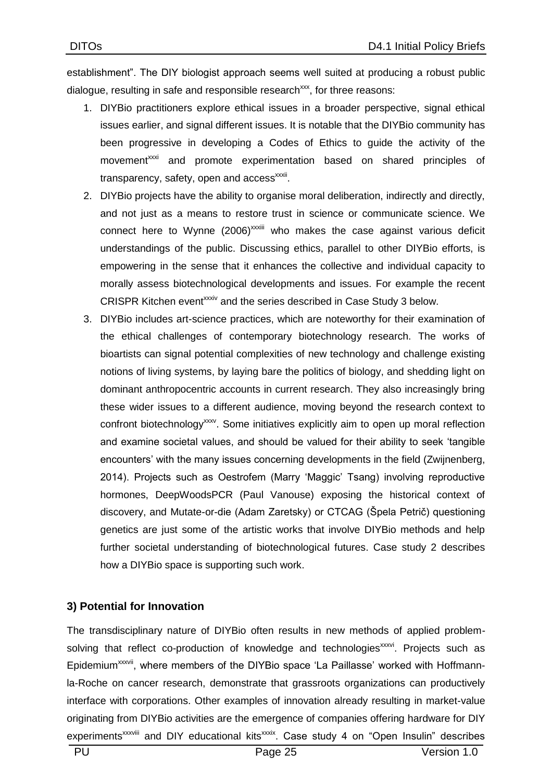establishment". The DIY biologist approach seems well suited at producing a robust public dialogue, resulting in safe and responsible research<sup>xxx</sup>, for three reasons:

- 1. DIYBio practitioners explore ethical issues in a broader perspective, signal ethical issues earlier, and signal different issues. It is notable that the DIYBio community has been progressive in developing a Codes of Ethics to guide the activity of the movement<sup>xxxi</sup> and promote experimentation based on shared principles of transparency, safety, open and access<sup>xxxii</sup>.
- 2. DIYBio projects have the ability to organise moral deliberation, indirectly and directly, and not just as a means to restore trust in science or communicate science. We connect here to Wynne  $(2006)^{xxxiii}$  who makes the case against various deficit understandings of the public. Discussing ethics, parallel to other DIYBio efforts, is empowering in the sense that it enhances the collective and individual capacity to morally assess biotechnological developments and issues. For example the recent CRISPR Kitchen event<sup>xxxiv</sup> and the series described in Case Study 3 below.
- 3. DIYBio includes art-science practices, which are noteworthy for their examination of the ethical challenges of contemporary biotechnology research. The works of bioartists can signal potential complexities of new technology and challenge existing notions of living systems, by laying bare the politics of biology, and shedding light on dominant anthropocentric accounts in current research. They also increasingly bring these wider issues to a different audience, moving beyond the research context to confront biotechnology<sup>xxxv</sup>. Some initiatives explicitly aim to open up moral reflection and examine societal values, and should be valued for their ability to seek 'tangible encounters' with the many issues concerning developments in the field (Zwijnenberg, 2014). Projects such as Oestrofem (Marry 'Maggic' Tsang) involving reproductive hormones, DeepWoodsPCR (Paul Vanouse) exposing the historical context of discovery, and Mutate-or-die (Adam Zaretsky) or CTCAG (Špela Petrič) questioning genetics are just some of the artistic works that involve DIYBio methods and help further societal understanding of biotechnological futures. Case study 2 describes how a DIYBio space is supporting such work.

#### **3) Potential for Innovation**

The transdisciplinary nature of DIYBio often results in new methods of applied problemsolving that reflect co-production of knowledge and technologies<sup>xxxvi</sup>. Projects such as Epidemium<sup>xxxvii</sup>, where members of the DIYBio space 'La Paillasse' worked with Hoffmannla-Roche on cancer research, demonstrate that grassroots organizations can productively interface with corporations. Other examples of innovation already resulting in market-value originating from DIYBio activities are the emergence of companies offering hardware for DIY experiments<sup>xxxviii</sup> and DIY educational kits<sup>xxxix</sup>. Case study 4 on "Open Insulin" describes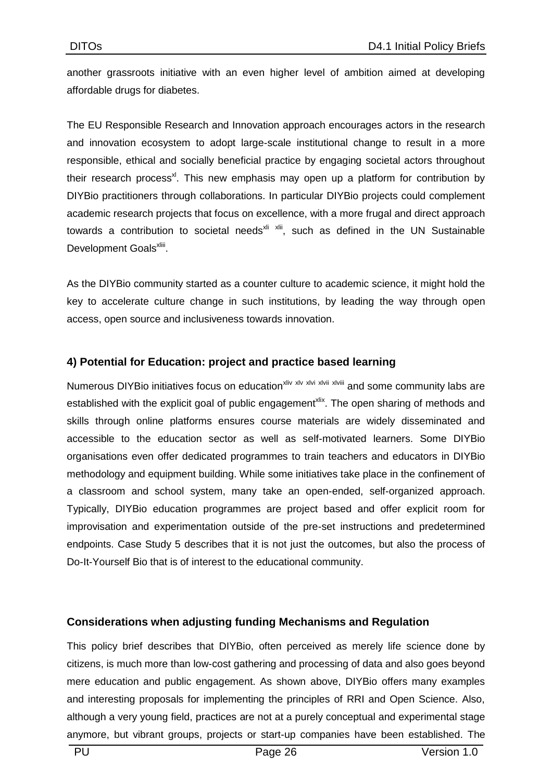another grassroots initiative with an even higher level of ambition aimed at developing affordable drugs for diabetes.

The EU Responsible Research and Innovation approach encourages actors in the research and innovation ecosystem to adopt large-scale institutional change to result in a more responsible, ethical and socially beneficial practice by engaging societal actors throughout their research process<sup>xl</sup>. This new emphasis may open up a platform for contribution by DIYBio practitioners through collaborations. In particular DIYBio projects could complement academic research projects that focus on excellence, with a more frugal and direct approach towards a contribution to societal needs $x$ <sup>ki xlii</sup>, such as defined in the UN Sustainable Development Goals<sup>xliii</sup>.

As the DIYBio community started as a counter culture to academic science, it might hold the key to accelerate culture change in such institutions, by leading the way through open access, open source and inclusiveness towards innovation.

#### **4) Potential for Education: project and practice based learning**

Numerous DIYBio initiatives focus on education<sup>xliv xlv xlvi xlvii xlviii</sup> and some community labs are established with the explicit goal of public engagement<sup>xlix</sup>. The open sharing of methods and skills through online platforms ensures course materials are widely disseminated and accessible to the education sector as well as self-motivated learners. Some DIYBio organisations even offer dedicated programmes to train teachers and educators in DIYBio methodology and equipment building. While some initiatives take place in the confinement of a classroom and school system, many take an open-ended, self-organized approach. Typically, DIYBio education programmes are project based and offer explicit room for improvisation and experimentation outside of the pre-set instructions and predetermined endpoints. Case Study 5 describes that it is not just the outcomes, but also the process of Do-It-Yourself Bio that is of interest to the educational community.

#### **Considerations when adjusting funding Mechanisms and Regulation**

This policy brief describes that DIYBio, often perceived as merely life science done by citizens, is much more than low-cost gathering and processing of data and also goes beyond mere education and public engagement. As shown above, DIYBio offers many examples and interesting proposals for implementing the principles of RRI and Open Science. Also, although a very young field, practices are not at a purely conceptual and experimental stage anymore, but vibrant groups, projects or start-up companies have been established. The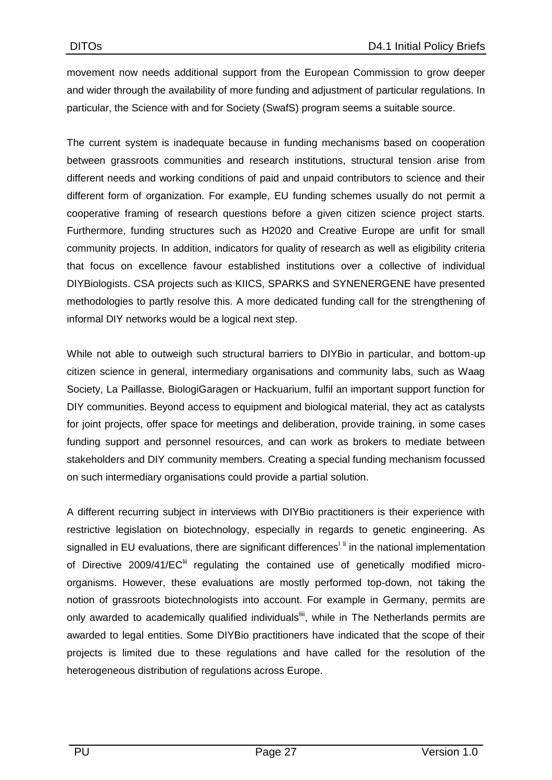movement now needs additional support from the European Commission to grow deeper and wider through the availability of more funding and adjustment of particular regulations. In particular, the Science with and for Society (SwafS) program seems a suitable source.

The current system is inadequate because in funding mechanisms based on cooperation between grassroots communities and research institutions, structural tension arise from different needs and working conditions of paid and unpaid contributors to science and their different form of organization. For example, EU funding schemes usually do not permit a cooperative framing of research questions before a given citizen science project starts. Furthermore, funding structures such as H2020 and Creative Europe are unfit for small community projects. In addition, indicators for quality of research as well as eligibility criteria that focus on excellence favour established institutions over a collective of individual DIYBiologists. CSA projects such as KIICS, SPARKS and SYNENERGENE have presented methodologies to partly resolve this. A more dedicated funding call for the strengthening of informal DIY networks would be a logical next step.

While not able to outweigh such structural barriers to DIYBio in particular, and bottom-up citizen science in general, intermediary organisations and community labs, such as Waag Society, La Paillasse, BiologiGaragen or Hackuarium, fulfil an important support function for DIY communities. Beyond access to equipment and biological material, they act as catalysts for joint projects, offer space for meetings and deliberation, provide training, in some cases funding support and personnel resources, and can work as brokers to mediate between stakeholders and DIY community members. Creating a special funding mechanism focussed on such intermediary organisations could provide a partial solution.

A different recurring subject in interviews with DIYBio practitioners is their experience with restrictive legislation on biotechnology, especially in regards to genetic engineering. As signalled in EU evaluations, there are significant differences<sup> $\parallel$  i</sup> in the national implementation of Directive 2009/41/EC<sup>III</sup> regulating the contained use of genetically modified microorganisms. However, these evaluations are mostly performed top-down, not taking the notion of grassroots biotechnologists into account. For example in Germany, permits are only awarded to academically qualified individuals<sup>iii</sup>, while in The Netherlands permits are awarded to legal entities. Some DIYBio practitioners have indicated that the scope of their projects is limited due to these regulations and have called for the resolution of the heterogeneous distribution of regulations across Europe.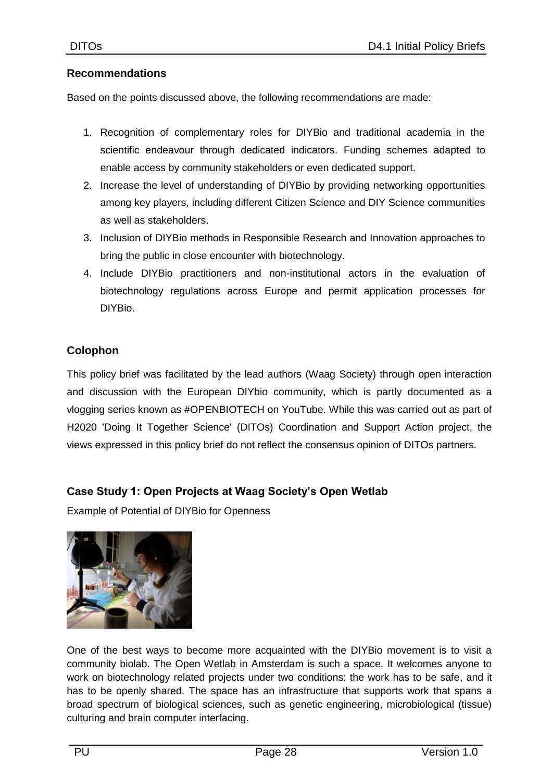#### **Recommendations**

Based on the points discussed above, the following recommendations are made:

- 1. Recognition of complementary roles for DIYBio and traditional academia in the scientific endeavour through dedicated indicators. Funding schemes adapted to enable access by community stakeholders or even dedicated support.
- 2. Increase the level of understanding of DIYBio by providing networking opportunities among key players, including different Citizen Science and DIY Science communities as well as stakeholders.
- 3. Inclusion of DIYBio methods in Responsible Research and Innovation approaches to bring the public in close encounter with biotechnology.
- 4. Include DIYBio practitioners and non-institutional actors in the evaluation of biotechnology regulations across Europe and permit application processes for DIYBio.

#### **Colophon**

This policy brief was facilitated by the lead authors (Waag Society) through open interaction and discussion with the European DIYbio community, which is partly documented as a vlogging series known as #OPENBIOTECH on YouTube. While this was carried out as part of H2020 'Doing It Together Science' (DITOs) Coordination and Support Action project, the views expressed in this policy brief do not reflect the consensus opinion of DITOs partners.

#### **Case Study 1: Open Projects at Waag Society's Open Wetlab**

Example of Potential of DIYBio for Openness



One of the best ways to become more acquainted with the DIYBio movement is to visit a community biolab. The Open Wetlab in Amsterdam is such a space. It welcomes anyone to work on biotechnology related projects under two conditions: the work has to be safe, and it has to be openly shared. The space has an infrastructure that supports work that spans a broad spectrum of biological sciences, such as genetic engineering, microbiological (tissue) culturing and brain computer interfacing.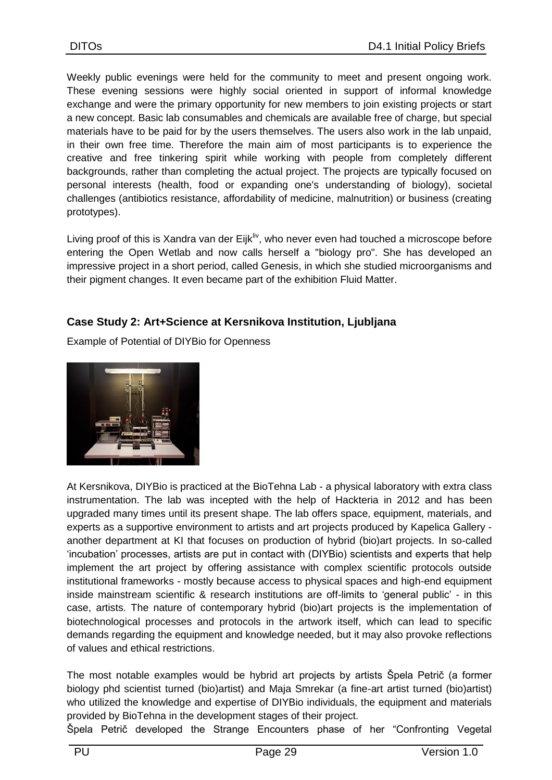Weekly public evenings were held for the community to meet and present ongoing work. These evening sessions were highly social oriented in support of informal knowledge exchange and were the primary opportunity for new members to join existing projects or start a new concept. Basic lab consumables and chemicals are available free of charge, but special materials have to be paid for by the users themselves. The users also work in the lab unpaid, in their own free time. Therefore the main aim of most participants is to experience the creative and free tinkering spirit while working with people from completely different backgrounds, rather than completing the actual project. The projects are typically focused on personal interests (health, food or expanding one's understanding of biology), societal challenges (antibiotics resistance, affordability of medicine, malnutrition) or business (creating prototypes).

Living proof of this is Xandra van der Eijk<sup>liv</sup>, who never even had touched a microscope before entering the Open Wetlab and now calls herself a "biology pro". She has developed an impressive project in a short period, called Genesis, in which she studied microorganisms and their pigment changes. It even became part of the exhibition Fluid Matter.

#### **Case Study 2: Art+Science at Kersnikova Institution, Ljubljana**

Example of Potential of DIYBio for Openness



At Kersnikova, DIYBio is practiced at the BioTehna Lab - a physical laboratory with extra class instrumentation. The lab was incepted with the help of Hackteria in 2012 and has been upgraded many times until its present shape. The lab offers space, equipment, materials, and experts as a supportive environment to artists and art projects produced by Kapelica Gallery another department at KI that focuses on production of hybrid (bio)art projects. In so-called 'incubation' processes, artists are put in contact with (DIYBio) scientists and experts that help implement the art project by offering assistance with complex scientific protocols outside institutional frameworks - mostly because access to physical spaces and high-end equipment inside mainstream scientific & research institutions are off-limits to 'general public' - in this case, artists. The nature of contemporary hybrid (bio)art projects is the implementation of biotechnological processes and protocols in the artwork itself, which can lead to specific demands regarding the equipment and knowledge needed, but it may also provoke reflections of values and ethical restrictions.

The most notable examples would be hybrid art projects by artists Špela Petrič (a former biology phd scientist turned (bio)artist) and Maja Smrekar (a fine-art artist turned (bio)artist) who utilized the knowledge and expertise of DIYBio individuals, the equipment and materials provided by BioTehna in the development stages of their project.

Špela Petrič developed the Strange Encounters phase of her "Confronting Vegetal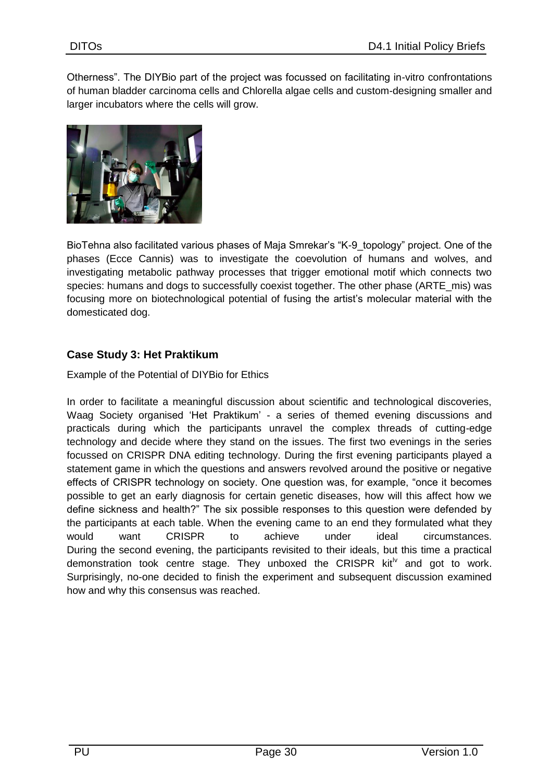Otherness". The DIYBio part of the project was focussed on facilitating in-vitro confrontations of human bladder carcinoma cells and Chlorella algae cells and custom-designing smaller and larger incubators where the cells will grow.



BioTehna also facilitated various phases of Maja Smrekar's "K-9\_topology" project. One of the phases (Ecce Cannis) was to investigate the coevolution of humans and wolves, and investigating metabolic pathway processes that trigger emotional motif which connects two species: humans and dogs to successfully coexist together. The other phase (ARTE\_mis) was focusing more on biotechnological potential of fusing the artist's molecular material with the domesticated dog.

#### **Case Study 3: Het Praktikum**

Example of the Potential of DIYBio for Ethics

In order to facilitate a meaningful discussion about scientific and technological discoveries, Waag Society organised 'Het Praktikum' - a series of themed evening discussions and practicals during which the participants unravel the complex threads of cutting-edge technology and decide where they stand on the issues. The first two evenings in the series focussed on CRISPR DNA editing technology. During the first evening participants played a statement game in which the questions and answers revolved around the positive or negative effects of CRISPR technology on society. One question was, for example, "once it becomes possible to get an early diagnosis for certain genetic diseases, how will this affect how we define sickness and health?" The six possible responses to this question were defended by the participants at each table. When the evening came to an end they formulated what they would want CRISPR to achieve under ideal circumstances. During the second evening, the participants revisited to their ideals, but this time a practical demonstration took centre stage. They unboxed the CRISPR  $\text{kit}^{\text{iv}}$  and got to work. Surprisingly, no-one decided to finish the experiment and subsequent discussion examined how and why this consensus was reached.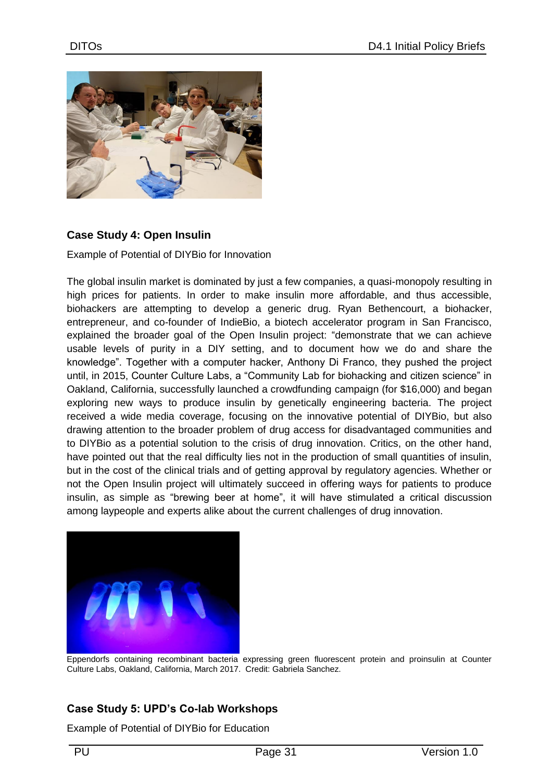

#### **Case Study 4: Open Insulin**

Example of Potential of DIYBio for Innovation

The global insulin market is dominated by just a few companies, a quasi-monopoly resulting in high prices for patients. In order to make insulin more affordable, and thus accessible, biohackers are attempting to develop a generic drug. Ryan Bethencourt, a biohacker, entrepreneur, and co-founder of IndieBio, a biotech accelerator program in San Francisco, explained the broader goal of the Open Insulin project: "demonstrate that we can achieve usable levels of purity in a DIY setting, and to document how we do and share the knowledge". Together with a computer hacker, Anthony Di Franco, they pushed the project until, in 2015, Counter Culture Labs, a "Community Lab for biohacking and citizen science" in Oakland, California, successfully launched a crowdfunding campaign (for \$16,000) and began exploring new ways to produce insulin by genetically engineering bacteria. The project received a wide media coverage, focusing on the innovative potential of DIYBio, but also drawing attention to the broader problem of drug access for disadvantaged communities and to DIYBio as a potential solution to the crisis of drug innovation. Critics, on the other hand, have pointed out that the real difficulty lies not in the production of small quantities of insulin, but in the cost of the clinical trials and of getting approval by regulatory agencies. Whether or not the Open Insulin project will ultimately succeed in offering ways for patients to produce insulin, as simple as "brewing beer at home", it will have stimulated a critical discussion among laypeople and experts alike about the current challenges of drug innovation.



Eppendorfs containing recombinant bacteria expressing green fluorescent protein and proinsulin at Counter Culture Labs, Oakland, California, March 2017. Credit: Gabriela Sanchez.

#### **Case Study 5: UPD's Co-lab Workshops**

Example of Potential of DIYBio for Education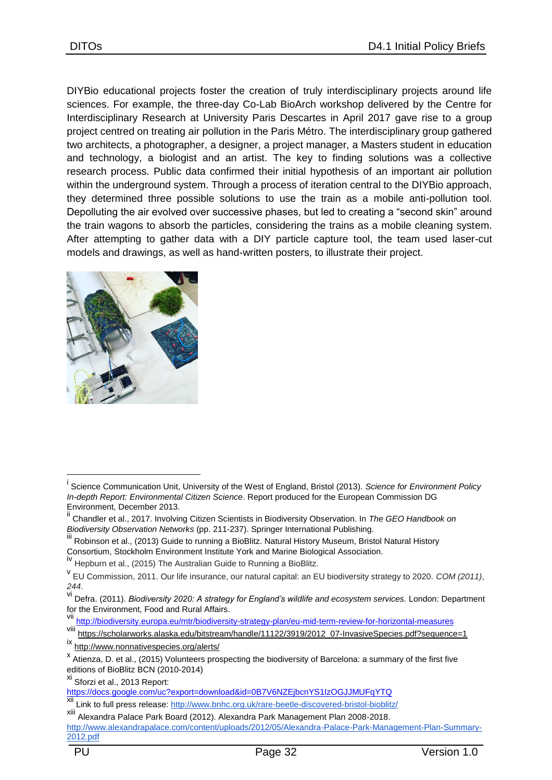DIYBio educational projects foster the creation of truly interdisciplinary projects around life sciences. For example, the three-day Co-Lab BioArch workshop delivered by the Centre for Interdisciplinary Research at University Paris Descartes in April 2017 gave rise to a group project centred on treating air pollution in the Paris Métro. The interdisciplinary group gathered two architects, a photographer, a designer, a project manager, a Masters student in education and technology, a biologist and an artist. The key to finding solutions was a collective research process. Public data confirmed their initial hypothesis of an important air pollution within the underground system. Through a process of iteration central to the DIYBio approach, they determined three possible solutions to use the train as a mobile anti-pollution tool. Depolluting the air evolved over successive phases, but led to creating a "second skin" around the train wagons to absorb the particles, considering the trains as a mobile cleaning system. After attempting to gather data with a DIY particle capture tool, the team used laser-cut models and drawings, as well as hand-written posters, to illustrate their project.



<u>.</u>

i Science Communication Unit, University of the West of England, Bristol (2013). *Science for Environment Policy In-depth Report: Environmental Citizen Science*. Report produced for the European Commission DG Environment, December 2013.

ii Chandler et al., 2017. Involving Citizen Scientists in Biodiversity Observation. In *The GEO Handbook on Biodiversity Observation Networks* (pp. 211-237). Springer International Publishing.

Robinson et al., (2013) Guide to running a BioBlitz. Natural History Museum, Bristol Natural History Consortium, Stockholm Environment Institute York and Marine Biological Association.

iv Hepburn et al., (2015) The Australian Guide to Running a BioBlitz.

v EU Commission, 2011. Our life insurance, our natural capital: an EU biodiversity strategy to 2020. *COM (2011)*, *244*.

vi Defra. (2011). *Biodiversity 2020: A strategy for England's wildlife and ecosystem services.* London: Department for the Environment, Food and Rural Affairs.

vii <http://biodiversity.europa.eu/mtr/biodiversity-strategy-plan/eu-mid-term-review-for-horizontal-measures><br>Viii https://oshologue.rks.ologics.odu/bitetreem/bendle/11122/2010/2012\_07.buggiugSpecies.odf2pecupper

[https://scholarworks.alaska.edu/bitstream/handle/11122/3919/2012\\_07-InvasiveSpecies.pdf?sequence=1](https://scholarworks.alaska.edu/bitstream/handle/11122/3919/2012_07-InvasiveSpecies.pdf?sequence=1)

ix <http://www.nonnativespecies.org/alerts/>

x Atienza, D. et al., (2015) Volunteers prospecting the biodiversity of Barcelona: a summary of the first five editions of BioBlitz BCN (2010-2014)

xi Sforzi et al., 2013 Report:

<https://docs.google.com/uc?export=download&id=0B7V6NZEjbcnYS1IzOGJJMUFqYTQ>

xii Link to full press releas[e:](http://www.bnhc.org.uk/rare-beetle-discovered-bristol-bioblitz/) <http://www.bnhc.org.uk/rare-beetle-discovered-bristol-bioblitz/>

xiii Alexandra Palace Park Board (2012). Alexandra Park Management Plan 2008-2018. [http://www.alexandrapalace.com/content/uploads/2012/05/Alexandra-Palace-Park-Management-Plan-Summary-](http://www.alexandrapalace.com/content/uploads/2012/05/Alexandra-Palace-Park-Management-Plan-Summary-2012.pdf)[2012.pdf](http://www.alexandrapalace.com/content/uploads/2012/05/Alexandra-Palace-Park-Management-Plan-Summary-2012.pdf)